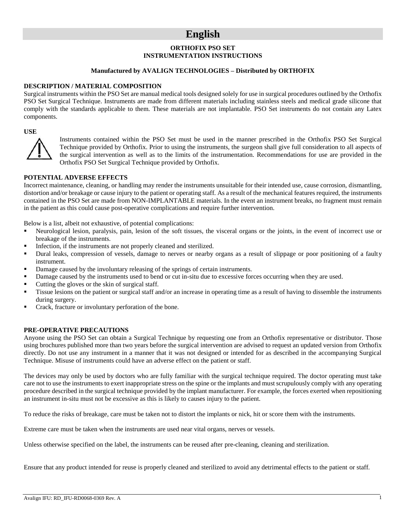# **English**

#### **ORTHOFIX PSO SET INSTRUMENTATION INSTRUCTIONS**

#### **Manufactured by AVALIGN TECHNOLOGIES – Distributed by ORTHOFIX**

#### **DESCRIPTION / MATERIAL COMPOSITION**

Surgical instruments within the PSO Set are manual medical tools designed solely for use in surgical procedures outlined by the Orthofix PSO Set Surgical Technique. Instruments are made from different materials including stainless steels and medical grade silicone that comply with the standards applicable to them. These materials are not implantable. PSO Set instruments do not contain any Latex components.

#### **USE**



Instruments contained within the PSO Set must be used in the manner prescribed in the Orthofix PSO Set Surgical Technique provided by Orthofix. Prior to using the instruments, the surgeon shall give full consideration to all aspects of the surgical intervention as well as to the limits of the instrumentation. Recommendations for use are provided in the Orthofix PSO Set Surgical Technique provided by Orthofix.

#### **POTENTIAL ADVERSE EFFECTS**

Incorrect maintenance, cleaning, or handling may render the instruments unsuitable for their intended use, cause corrosion, dismantling, distortion and/or breakage or cause injury to the patient or operating staff. As a result of the mechanical features required, the instruments contained in the PSO Set are made from NON-IMPLANTABLE materials. In the event an instrument breaks, no fragment must remain in the patient as this could cause post-operative complications and require further intervention.

Below is a list, albeit not exhaustive, of potential complications:

- Neurological lesion, paralysis, pain, lesion of the soft tissues, the visceral organs or the joints, in the event of incorrect use or breakage of the instruments.
- Infection, if the instruments are not properly cleaned and sterilized.
- **•** Dural leaks, compression of vessels, damage to nerves or nearby organs as a result of slippage or poor positioning of a faulty instrument.
- Damage caused by the involuntary releasing of the springs of certain instruments.
- Damage caused by the instruments used to bend or cut in-situ due to excessive forces occurring when they are used.
- Cutting the gloves or the skin of surgical staff.
- Tissue lesions on the patient or surgical staff and/or an increase in operating time as a result of having to dissemble the instruments during surgery.
- Crack, fracture or involuntary perforation of the bone.

#### **PRE-OPERATIVE PRECAUTIONS**

Anyone using the PSO Set can obtain a Surgical Technique by requesting one from an Orthofix representative or distributor. Those using brochures published more than two years before the surgical intervention are advised to request an updated version from Orthofix directly. Do not use any instrument in a manner that it was not designed or intended for as described in the accompanying Surgical Technique. Misuse of instruments could have an adverse effect on the patient or staff.

The devices may only be used by doctors who are fully familiar with the surgical technique required. The doctor operating must take care not to use the instruments to exert inappropriate stress on the spine or the implants and must scrupulously comply with any operating procedure described in the surgical technique provided by the implant manufacturer. For example, the forces exerted when repositioning an instrument in-situ must not be excessive as this is likely to causes injury to the patient.

To reduce the risks of breakage, care must be taken not to distort the implants or nick, hit or score them with the instruments.

Extreme care must be taken when the instruments are used near vital organs, nerves or vessels.

Unless otherwise specified on the label, the instruments can be reused after pre-cleaning, cleaning and sterilization.

Ensure that any product intended for reuse is properly cleaned and sterilized to avoid any detrimental effects to the patient or staff.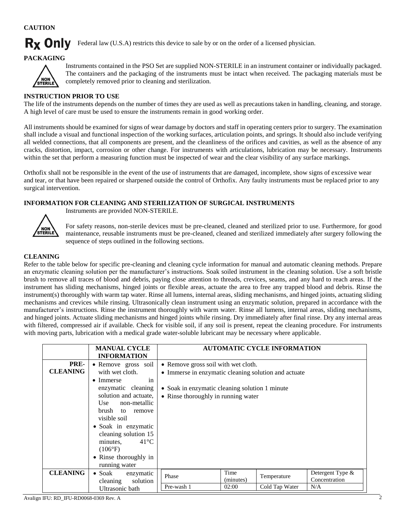# **CAUTION**

# **Rx Only**

Federal law (U.S.A) restricts this device to sale by or on the order of a licensed physician.

### **PACKAGING**



Instruments contained in the PSO Set are supplied NON-STERILE in an instrument container or individually packaged. The containers and the packaging of the instruments must be intact when received. The packaging materials must be completely removed prior to cleaning and sterilization.

# **INSTRUCTION PRIOR TO USE**

The life of the instruments depends on the number of times they are used as well as precautions taken in handling, cleaning, and storage. A high level of care must be used to ensure the instruments remain in good working order.

All instruments should be examined for signs of wear damage by doctors and staff in operating centers prior to surgery. The examination shall include a visual and functional inspection of the working surfaces, articulation points, and springs. It should also include verifying all welded connections, that all components are present, and the cleanliness of the orifices and cavities, as well as the absence of any cracks, distortion, impact, corrosion or other change. For instruments with articulations, lubrication may be necessary. Instruments within the set that perform a measuring function must be inspected of wear and the clear visibility of any surface markings.

Orthofix shall not be responsible in the event of the use of instruments that are damaged, incomplete, show signs of excessive wear and tear, or that have been repaired or sharpened outside the control of Orthofix. Any faulty instruments must be replaced prior to any surgical intervention.

#### **INFORMATION FOR CLEANING AND STERILIZATION OF SURGICAL INSTRUMENTS**

Instruments are provided NON-STERILE.



For safety reasons, non-sterile devices must be pre-cleaned, cleaned and sterilized prior to use. Furthermore, for good

maintenance, reusable instruments must be pre-cleaned, cleaned and sterilized immediately after surgery following the sequence of steps outlined in the following sections.

### **CLEANING**

Refer to the table below for specific pre-cleaning and cleaning cycle information for manual and automatic cleaning methods. Prepare an enzymatic cleaning solution per the manufacturer's instructions. Soak soiled instrument in the cleaning solution. Use a soft bristle brush to remove all traces of blood and debris, paying close attention to threads, crevices, seams, and any hard to reach areas. If the instrument has sliding mechanisms, hinged joints or flexible areas, actuate the area to free any trapped blood and debris. Rinse the instrument(s) thoroughly with warm tap water. Rinse all lumens, internal areas, sliding mechanisms, and hinged joints, actuating sliding mechanisms and crevices while rinsing. Ultrasonically clean instrument using an enzymatic solution, prepared in accordance with the manufacturer's instructions. Rinse the instrument thoroughly with warm water. Rinse all lumens, internal areas, sliding mechanisms, and hinged joints. Actuate sliding mechanisms and hinged joints while rinsing. Dry immediately after final rinse. Dry any internal areas with filtered, compressed air if available. Check for visible soil, if any soil is present, repeat the cleaning procedure. For instruments with moving parts, lubrication with a medical grade water-soluble lubricant may be necessary where applicable.

|                         | <b>MANUAL CYCLE</b><br><b>INFORMATION</b>                                                                                                                                                                                                                                                                         |                                                                                                                                                                                      |                            | <b>AUTOMATIC CYCLE INFORMATION</b> |                                          |
|-------------------------|-------------------------------------------------------------------------------------------------------------------------------------------------------------------------------------------------------------------------------------------------------------------------------------------------------------------|--------------------------------------------------------------------------------------------------------------------------------------------------------------------------------------|----------------------------|------------------------------------|------------------------------------------|
| PRE-<br><b>CLEANING</b> | • Remove gross soil<br>with wet cloth.<br>$\bullet$ Immerse<br>in<br>enzymatic cleaning<br>solution and actuate,<br>Use non-metallic<br>brush to remove<br>visible soil<br>• Soak in enzymatic<br>cleaning solution 15<br>$41^{\circ}C$<br>minutes,<br>$(106^{\circ}F)$<br>• Rinse thoroughly in<br>running water | • Remove gross soil with wet cloth.<br>• Immerse in enzymatic cleaning solution and actuate<br>• Soak in enzymatic cleaning solution 1 minute<br>• Rinse thoroughly in running water |                            |                                    |                                          |
| <b>CLEANING</b>         | • Soak enzymatic<br>solution<br>cleaning                                                                                                                                                                                                                                                                          | Phase                                                                                                                                                                                | Time<br>(minutes)<br>02:00 | Temperature                        | Detergent Type &<br>Concentration<br>N/A |
|                         | Ultrasonic bath                                                                                                                                                                                                                                                                                                   | Pre-wash 1                                                                                                                                                                           |                            | Cold Tap Water                     |                                          |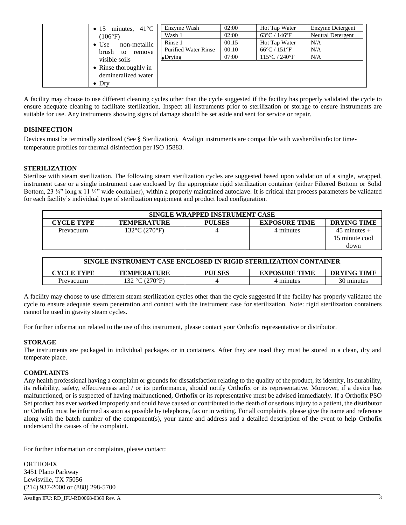| $41^{\circ}C$<br>minutes,<br>$\bullet$ 15 | Enzyme Wash                 | 02:00 | Hot Tap Water                      | Enzyme Detergent  |
|-------------------------------------------|-----------------------------|-------|------------------------------------|-------------------|
| $(106^{\circ}F)$                          | Wash 1                      | 02:00 | $63^{\circ}$ C / 146 $^{\circ}$ F  | Neutral Detergent |
| $\bullet$ Use<br>non-metallic             | Rinse 1                     | 00:15 | Hot Tap Water                      | N/A               |
| brush to<br>remove                        | <b>Purified Water Rinse</b> | 00:10 | $66^{\circ}$ C / 151 $^{\circ}$ F  | N/A               |
| visible soils                             | $\bullet$ Drying            | 07:00 | $115^{\circ}$ C / 240 $^{\circ}$ F | N/A               |
| • Rinse thoroughly in                     |                             |       |                                    |                   |
| demineralized water                       |                             |       |                                    |                   |
| $\bullet$ Dry                             |                             |       |                                    |                   |

A facility may choose to use different cleaning cycles other than the cycle suggested if the facility has properly validated the cycle to ensure adequate cleaning to facilitate sterilization. Inspect all instruments prior to sterilization or storage to ensure instruments are suitable for use. Any instruments showing signs of damage should be set aside and sent for service or repair.

# **DISINFECTION**

Devices must be terminally sterilized (See § Sterilization). Avalign instruments are compatible with washer/disinfector timetemperature profiles for thermal disinfection per ISO 15883.

### **STERILIZATION**

Sterilize with steam sterilization. The following steam sterilization cycles are suggested based upon validation of a single, wrapped, instrument case or a single instrument case enclosed by the appropriate rigid sterilization container (either Filtered Bottom or Solid Bottom, 23 ¼" long x 11 ¼" wide container), within a properly maintained autoclave. It is critical that process parameters be validated for each facility's individual type of sterilization equipment and product load configuration.

|                   | SINGLE WRAPPED INSTRUMENT CASE     |               |                      |                    |
|-------------------|------------------------------------|---------------|----------------------|--------------------|
| <b>CYCLE TYPE</b> | <b>TEMPERATURE</b>                 | <b>PULSES</b> | <b>EXPOSURE TIME</b> | <b>DRYING TIME</b> |
| Prevacuum         | $132^{\circ}$ C (270 $^{\circ}$ F) |               | 4 minutes            | $45$ minutes $+$   |
|                   |                                    |               |                      | 15 minute cool     |
|                   |                                    |               |                      | down               |

| SINGLE INSTRUMENT CASE ENCLOSED IN RIGID STERILIZATION CONTAINER |                    |               |                      |                    |
|------------------------------------------------------------------|--------------------|---------------|----------------------|--------------------|
| CYCLE TYPE                                                       | <b>TEMPERATURE</b> | <b>PULSES</b> | <b>EXPOSURE TIME</b> | <b>DRYING TIME</b> |
| Prevacuum                                                        | 132 °C (270°F)     |               | 4 minutes            | 30 minutes         |

A facility may choose to use different steam sterilization cycles other than the cycle suggested if the facility has properly validated the cycle to ensure adequate steam penetration and contact with the instrument case for sterilization. Note: rigid sterilization containers cannot be used in gravity steam cycles.

For further information related to the use of this instrument, please contact your Orthofix representative or distributor.

#### **STORAGE**

The instruments are packaged in individual packages or in containers. After they are used they must be stored in a clean, dry and temperate place.

#### **COMPLAINTS**

Any health professional having a complaint or grounds for dissatisfaction relating to the quality of the product, its identity, its durability, its reliability, safety, effectiveness and / or its performance, should notify Orthofix or its representative. Moreover, if a device has malfunctioned, or is suspected of having malfunctioned, Orthofix or its representative must be advised immediately. If a Orthofix PSO Set product has ever worked improperly and could have caused or contributed to the death of or serious injury to a patient, the distributor or Orthofix must be informed as soon as possible by telephone, fax or in writing. For all complaints, please give the name and reference along with the batch number of the component(s), your name and address and a detailed description of the event to help Orthofix understand the causes of the complaint.

For further information or complaints, please contact:

**ORTHOFIX** 3451 Plano Parkway Lewisville, TX 75056 (214) 937-2000 or (888) 298-5700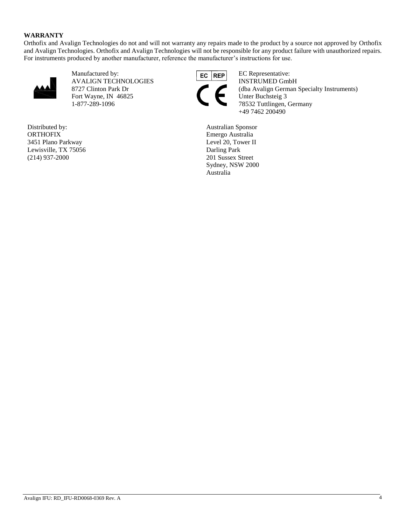#### **WARRANTY**

Orthofix and Avalign Technologies do not and will not warranty any repairs made to the product by a source not approved by Orthofix and Avalign Technologies. Orthofix and Avalign Technologies will not be responsible for any product failure with unauthorized repairs. For instruments produced by another manufacturer, reference the manufacturer's instructions for use.



Manufactured by: EC REP EC Representative: AVALIGN TECHNOLOGIES INSTRUMED GmbH Fort Wayne, IN 46825<br>1-877-289-1096 Unter Buchsteig 3<br>78532 Tuttlingen,

Distributed by: **ORTHOFIX** 3451 Plano Parkway Lewisville, TX 75056 (214) 937-2000



8727 Clinton Park Dr (dba Avalign German Specialty Instruments)<br>Fort Wayne, IN 46825 Unter Buchsteig 3 78532 Tuttlingen, Germany +49 7462 200490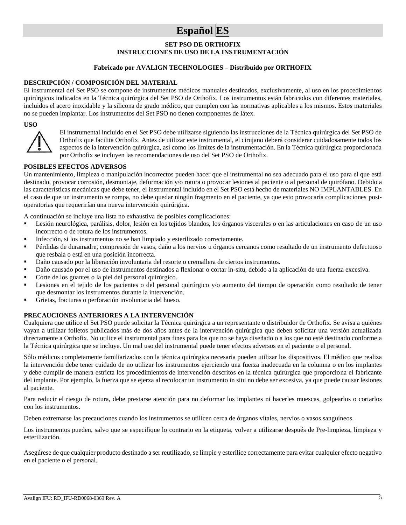# **Español ES**

#### **SET PSO DE ORTHOFIX**

### **INSTRUCCIONES DE USO DE LA INSTRUMENTACIÓN**

#### **Fabricado por AVALIGN TECHNOLOGIES – Distribuido por ORTHOFIX**

#### **DESCRIPCIÓN / COMPOSICIÓN DEL MATERIAL**

El instrumental del Set PSO se compone de instrumentos médicos manuales destinados, exclusivamente, al uso en los procedimientos quirúrgicos indicados en la Técnica quirúrgica del Set PSO de Orthofix. Los instrumentos están fabricados con diferentes materiales, incluidos el acero inoxidable y la silicona de grado médico, que cumplen con las normativas aplicables a los mismos. Estos materiales no se pueden implantar. Los instrumentos del Set PSO no tienen componentes de látex.

#### **USO**



El instrumental incluido en el Set PSO debe utilizarse siguiendo las instrucciones de la Técnica quirúrgica del Set PSO de Orthofix que facilita Orthofix. Antes de utilizar este instrumental, el cirujano deberá considerar cuidadosamente todos los aspectos de la intervención quirúrgica, así como los límites de la instrumentación. En la Técnica quirúrgica proporcionada por Orthofix se incluyen las recomendaciones de uso del Set PSO de Orthofix.

#### **POSIBLES EFECTOS ADVERSOS**

Un mantenimiento, limpieza o manipulación incorrectos pueden hacer que el instrumental no sea adecuado para el uso para el que está destinado, provocar corrosión, desmontaje, deformación y/o rotura o provocar lesiones al paciente o al personal de quirófano. Debido a las características mecánicas que debe tener, el instrumental incluido en el Set PSO está hecho de materiales NO IMPLANTABLES. En el caso de que un instrumento se rompa, no debe quedar ningún fragmento en el paciente, ya que esto provocaría complicaciones postoperatorias que requerirían una nueva intervención quirúrgica.

A continuación se incluye una lista no exhaustiva de posibles complicaciones:

- Lesión neurológica, parálisis, dolor, lesión en los tejidos blandos, los órganos viscerales o en las articulaciones en caso de un uso incorrecto o de rotura de los instrumentos.
- Infección, si los instrumentos no se han limpiado y esterilizado correctamente.
- Pérdidas de duramadre, compresión de vasos, daño a los nervios u órganos cercanos como resultado de un instrumento defectuoso que resbala o está en una posición incorrecta.
- Daño causado por la liberación involuntaria del resorte o cremallera de ciertos instrumentos.
- Daño causado por el uso de instrumentos destinados a flexionar o cortar in-situ, debido a la aplicación de una fuerza excesiva.
- Corte de los guantes o la piel del personal quirúrgico.
- Lesiones en el tejido de los pacientes o del personal quirúrgico y/o aumento del tiempo de operación como resultado de tener que desmontar los instrumentos durante la intervención.
- Grietas, fracturas o perforación involuntaria del hueso.

#### **PRECAUCIONES ANTERIORES A LA INTERVENCIÓN**

Cualquiera que utilice el Set PSO puede solicitar la Técnica quirúrgica a un representante o distribuidor de Orthofix. Se avisa a quiénes vayan a utilizar folletos publicados más de dos años antes de la intervención quirúrgica que deben solicitar una versión actualizada directamente a Orthofix. No utilice el instrumental para fines para los que no se haya diseñado o a los que no esté destinado conforme a la Técnica quirúrgica que se incluye. Un mal uso del instrumental puede tener efectos adversos en el paciente o el personal.

Sólo médicos completamente familiarizados con la técnica quirúrgica necesaria pueden utilizar los dispositivos. El médico que realiza la intervención debe tener cuidado de no utilizar los instrumentos ejerciendo una fuerza inadecuada en la columna o en los implantes y debe cumplir de manera estricta los procedimientos de intervención descritos en la técnica quirúrgica que proporciona el fabricante del implante. Por ejemplo, la fuerza que se ejerza al recolocar un instrumento in situ no debe ser excesiva, ya que puede causar lesiones al paciente.

Para reducir el riesgo de rotura, debe prestarse atención para no deformar los implantes ni hacerles muescas, golpearlos o cortarlos con los instrumentos.

Deben extremarse las precauciones cuando los instrumentos se utilicen cerca de órganos vitales, nervios o vasos sanguíneos.

Los instrumentos pueden, salvo que se especifique lo contrario en la etiqueta, volver a utilizarse después de Pre-limpieza, limpieza y esterilización.

Asegúrese de que cualquier producto destinado a ser reutilizado, se limpie y esterilice correctamente para evitar cualquier efecto negativo en el paciente o el personal.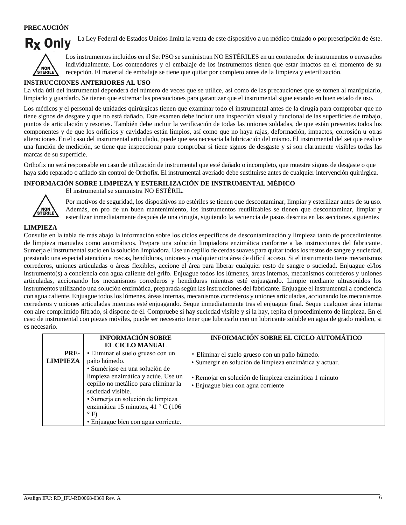# **PRECAUCIÓN**

La Ley Federal de Estados Unidos limita la venta de este dispositivo a un médico titulado o por prescripción de éste.



Los instrumentos incluidos en el Set PSO se suministran NO ESTÉRILES en un contenedor de instrumentos o envasados individualmente. Los contendores y el embalaje de los instrumentos tienen que estar intactos en el momento de su recepción. El material de embalaje se tiene que quitar por completo antes de la limpieza y esterilización.

#### **INSTRUCCIONES ANTERIORES AL USO**

La vida útil del instrumental dependerá del número de veces que se utilice, así como de las precauciones que se tomen al manipularlo, limpiarlo y guardarlo. Se tienen que extremar las precauciones para garantizar que el instrumental sigue estando en buen estado de uso.

Los médicos y el personal de unidades quirúrgicas tienen que examinar todo el instrumental antes de la cirugía para comprobar que no tiene signos de desgate y que no está dañado. Este examen debe incluir una inspección visual y funcional de las superficies de trabajo, puntos de articulación y resortes. También debe incluir la verificación de todas las uniones soldadas, de que están presentes todos los componentes y de que los orificios y cavidades están limpios, así como que no haya rajas, deformación, impactos, corrosión u otras alteraciones. En el caso del instrumental articulado, puede que sea necesaria la lubricación del mismo. El instrumental del set que realice una función de medición, se tiene que inspeccionar para comprobar si tiene signos de desgaste y si son claramente visibles todas las marcas de su superficie.

Orthofix no será responsable en caso de utilización de instrumental que esté dañado o incompleto, que muestre signos de desgaste o que haya sido reparado o afilado sin control de Orthofix. El instrumental averiado debe sustituirse antes de cualquier intervención quirúrgica.

#### **INFORMACIÓN SOBRE LIMPIEZA Y ESTERILIZACIÓN DE INSTRUMENTAL MÉDICO**



El instrumental se suministra NO ESTÉRIL.

Por motivos de seguridad, los dispositivos no estériles se tienen que descontaminar, limpiar y esterilizar antes de su uso. Además, en pro de un buen mantenimiento, los instrumentos reutilizables se tienen que descontaminar, limpiar y esterilizar inmediatamente después de una cirugía, siguiendo la secuencia de pasos descrita en las secciones siguientes

### **LIMPIEZA**

Consulte en la tabla de más abajo la información sobre los ciclos específicos de descontaminación y limpieza tanto de procedimientos de limpieza manuales como automáticos. Prepare una solución limpiadora enzimática conforme a las instrucciones del fabricante. Sumerja el instrumental sucio en la solución limpiadora. Use un cepillo de cerdas suaves para quitar todos los restos de sangre y suciedad, prestando una especial atención a roscas, hendiduras, uniones y cualquier otra área de difícil acceso. Si el instrumento tiene mecanismos correderos, uniones articuladas o áreas flexibles, accione el área para liberar cualquier resto de sangre o suciedad. Enjuague el/los instrumento(s) a conciencia con agua caliente del grifo. Enjuague todos los lúmenes, áreas internas, mecanismos correderos y uniones articuladas, accionando los mecanismos correderos y hendiduras mientras esté enjuagando. Limpie mediante ultrasonidos los instrumentos utilizando una solución enzimática, preparada según las instrucciones del fabricante. Enjuague el instrumental a conciencia con agua caliente. Enjuague todos los lúmenes, áreas internas, mecanismos correderos y uniones articuladas, accionando los mecanismos correderos y uniones articuladas mientras esté enjuagando. Seque inmediatamente tras el enjuague final. Seque cualquier área interna con aire comprimido filtrado, si dispone de él. Compruebe si hay suciedad visible y si la hay, repita el procedimiento de limpieza. En el caso de instrumental con piezas móviles, puede ser necesario tener que lubricarlo con un lubricante soluble en agua de grado médico, si es necesario.

|                         | <b>INFORMACIÓN SOBRE</b><br><b>EL CICLO MANUAL</b>                                               | <b>INFORMACIÓN SOBRE EL CICLO AUTOMÁTICO</b>                                                              |
|-------------------------|--------------------------------------------------------------------------------------------------|-----------------------------------------------------------------------------------------------------------|
| PRE-<br><b>LIMPIEZA</b> | · Eliminar el suelo grueso con un<br>paño húmedo.<br>· Sumérjase en una solución de              | • Eliminar el suelo grueso con un paño húmedo.<br>· Sumergir en solución de limpieza enzimática y actuar. |
|                         | limpieza enzimática y actúe. Use un<br>cepillo no metálico para eliminar la<br>suciedad visible. | • Remojar en solución de limpieza enzimática 1 minuto<br>• Enjuague bien con agua corriente               |
|                         | · Sumerja en solución de limpieza<br>enzimática 15 minutos, 41 ° C (106<br>$\circ$ F)            |                                                                                                           |
|                         | · Enjuague bien con agua corriente.                                                              |                                                                                                           |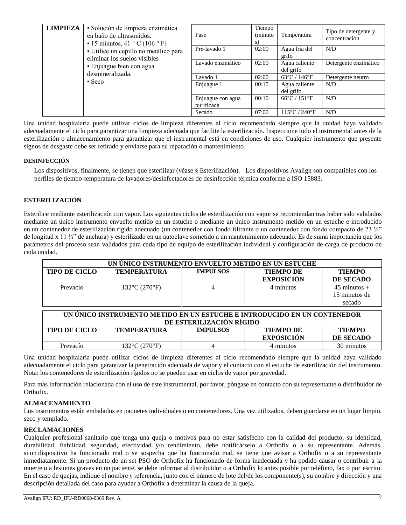| <b>LIMPIEZA</b> | · Solución de limpieza enzimática<br>en baño de ultrasonidos.<br>$\cdot$ 15 minutos, 41 ° C (106 ° F)                                 | Fase                            | Tiempo<br>(minuto<br>S) | Temperatura                        | Tipo de detergente y<br>concentración |
|-----------------|---------------------------------------------------------------------------------------------------------------------------------------|---------------------------------|-------------------------|------------------------------------|---------------------------------------|
|                 | · Utilice un cepillo no metálico para<br>eliminar los suelos visibles<br>· Enjuague bien con agua<br>desmineralizada.<br>$\cdot$ Seco | Pre-lavado 1                    | 02:00                   | Agua fría del<br>grifo             | N/D                                   |
|                 |                                                                                                                                       | Lavado enzimático               | 02:00                   | Agua caliente<br>del grifo         | Detergente enzimático                 |
|                 |                                                                                                                                       | Lavado 1                        | 02:00                   | $63^{\circ}$ C / 146 $^{\circ}$ F  | Detergente neutro                     |
|                 |                                                                                                                                       | Enjuague 1                      | 00:15                   | Agua caliente<br>del grifo         | N/D                                   |
|                 |                                                                                                                                       | Enjuague con agua<br>purificada | 00:10                   | $66^{\circ}$ C / 151 $^{\circ}$ F  | N/D                                   |
|                 |                                                                                                                                       | Secado                          | 07:00                   | $115^{\circ}$ C / 240 $^{\circ}$ F | N/D                                   |

Una unidad hospitalaria puede utilizar ciclos de limpieza diferentes al ciclo recomendado siempre que la unidad haya validado adecuadamente el ciclo para garantizar una limpieza adecuada que facilite la esterilización. Inspeccione todo el instrumental antes de la esterilización o almacenamiento para garantizar que el instrumental está en condiciones de uso. Cualquier instrumento que presente signos de desgaste debe ser retirado y enviarse para su reparación o mantenimiento.

### **DESINFECCIÓN**

Los dispositivos, finalmente, se tienen que esterilizar (véase § Esterilización). Los dispositivos Avalign son compatibles con los perfiles de tiempo-temperatura de lavadores/desinfectadores de desinfección térmica conforme a ISO 15883.

### **ESTERILIZACIÓN**

Esterilice mediante esterilización con vapor. Los siguientes ciclos de esterilización con vapor se recomiendan tras haber sido validados mediante un único instrumento envuelto metido en un estuche o mediante un único instrumento metido en un estuche e introducido en un contenedor de esterilización rígido adecuado (un contenedor con fondo filtrante o un contenedor con fondo compacto de 23 ¼" de longitud x 11 ¼" de anchura) y esterilizado en un autoclave sometido a un mantenimiento adecuado. Es de suma importancia que los parámetros del proceso sean validados para cada tipo de equipo de esterilización individual y configuración de carga de producto de cada unidad.

|                      | UN ÚNICO INSTRUMENTO ENVUELTO METIDO EN UN ESTUCHE                                                   |                 |                                       |                                             |  |
|----------------------|------------------------------------------------------------------------------------------------------|-----------------|---------------------------------------|---------------------------------------------|--|
| <b>TIPO DE CICLO</b> | <b>TEMPERATURA</b>                                                                                   | <b>IMPULSOS</b> | <b>TIEMPO DE</b><br><b>EXPOSICIÓN</b> | <b>TIEMPO</b><br><b>DE SECADO</b>           |  |
| Prevacío             | $132^{\circ}$ C (270 $^{\circ}$ F)                                                                   |                 | 4 minutos                             | $45$ minutos $+$<br>15 minutos de<br>secado |  |
|                      | UN ÚNICO INSTRUMENTO METIDO EN UN ESTUCHE E INTRODUCIDO EN UN CONTENEDOR<br>DE ESTERILIZACIÓN RÍGIDO |                 |                                       |                                             |  |
| <b>TIPO DE CICLO</b> | <b>TEMPERATURA</b>                                                                                   | <b>IMPULSOS</b> | <b>TIEMPO DE</b><br><b>EXPOSICIÓN</b> | <b>TIEMPO</b><br><b>DE SECADO</b>           |  |
| Prevacío             | 132°C (270°F)                                                                                        | 4               | 4 minutos                             | 30 minutos                                  |  |

Una unidad hospitalaria puede utilizar ciclos de limpieza diferentes al ciclo recomendado siempre que la unidad haya validado adecuadamente el ciclo para garantizar la penetración adecuada de vapor y el contacto con el estuche de esterilización del instrumento. Nota: los contenedores de esterilización rígidos no se pueden usar en ciclos de vapor por gravedad.

Para más información relacionada con el uso de este instrumental, por favor, póngase en contacto con su representante o distribuidor de Orthofix.

#### **ALMACENAMIENTO**

Los instrumentos están embalados en paquetes individuales o en contenedores. Una vez utilizados, deben guardarse en un lugar limpio, seco y templado.

#### **RECLAMACIONES**

Cualquier profesional sanitario que tenga una queja o motivos para no estar satisfecho con la calidad del producto, su identidad, durabilidad, fiabilidad, seguridad, efectividad y/o rendimiento, debe notificárselo a Orthofix o a su representante. Además, si un dispositivo ha funcionado mal o se sospecha que ha funcionado mal, se tiene que avisar a Orthofix o a su representante inmediatamente. Si un producto de un set PSO de Orthofix ha funcionado de forma inadecuada y ha podido causar o contribuir a la muerte o a lesiones graves en un paciente, se debe informar al distribuidor o a Orthofix lo antes posible por teléfono, fax o por escrito. En el caso de quejas, indique el nombre y referencia, junto con el número de lote del/de los componente(s), su nombre y dirección y una descripción detallada del caso para ayudar a Orthofix a determinar la causa de la queja.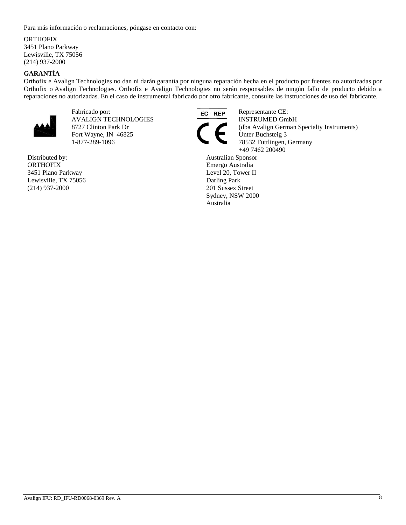Para más información o reclamaciones, póngase en contacto con:

#### ORTHOFIX

3451 Plano Parkway Lewisville, TX 75056 (214) 937-2000

# **GARANTÍA**

Orthofix e Avalign Technologies no dan ni darán garantía por ninguna reparación hecha en el producto por fuentes no autorizadas por Orthofix o Avalign Technologies. Orthofix e Avalign Technologies no serán responsables de ningún fallo de producto debido a reparaciones no autorizadas. En el caso de instrumental fabricado por otro fabricante, consulte las instrucciones de uso del fabricante.



Fabricado por: **EC REP** Representante CE: AVALIGN TECHNOLOGIES INSTRUMED GmbH Fort Wayne, IN 46825 1-877-289-1096 78532 Tuttlingen, Germany

Distributed by: **ORTHOFIX** 3451 Plano Parkway Lewisville, TX 75056 (214) 937-2000



8727 Clinton Park Dr (dba Avalign German Specialty Instruments)<br>Fort Wayne, IN 46825 Unter Buchsteig 3 +49 7462 200490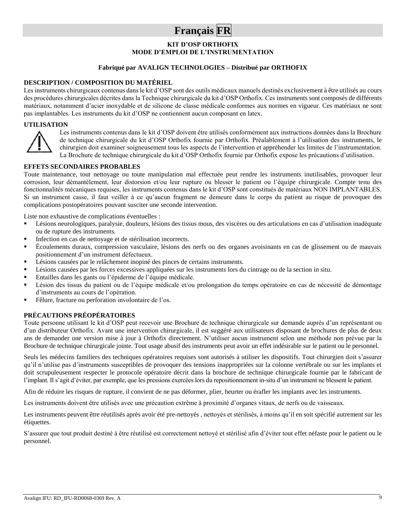# **Français FR**

# **KIT D'OSP ORTHOFIX MODE D'EMPLOI DE L'INSTRUMENTATION**

#### **Fabriqué par AVALIGN TECHNOLOGIES – Distribué par ORTHOFIX**

#### **DESCRIPTION / COMPOSITION DU MATÉRIEL**

Les instruments chirurgicaux contenus dans le kit d'OSP sont des outils médicaux manuels destinés exclusivement à être utilisés au cours des procédures chirurgicales décrites dans la Technique chirurgicale du kit d'OSP Orthofix. Ces instruments sont composés de différents matériaux, notamment d'acier inoxydable et de silicone de classe médicale conformes aux normes en vigueur. Ces matériaux ne sont pas implantables. Les instruments du kit d'OSP ne contiennent aucun composant en latex.

#### **UTILISATION**



Les instruments contenus dans le kit d'OSP doivent être utilisés conformément aux instructions données dans la Brochure de technique chirurgicale du kit d'OSP Orthofix fournie par Orthofix. Préalablement à l'utilisation des instruments, le chirurgien doit examiner soigneusement tous les aspects de l'intervention et appréhender les limites de l'instrumentation. La Brochure de technique chirurgicale du kit d'OSP Orthofix fournie par Orthofix expose les précautions d'utilisation.

#### **EFFETS SECONDAIRES PROBABLES**

Toute maintenance, tout nettoyage ou toute manipulation mal effectuée peut rendre les instruments inutilisables, provoquer leur corrosion, leur démantèlement, leur distorsion et/ou leur rupture ou blesser le patient ou l'équipe chirurgicale. Compte tenu des fonctionnalités mécaniques requises, les instruments contenus dans le kit d'OSP sont constitués de matériaux NON IMPLANTABLES. Si un instrument casse, il faut veiller à ce qu'aucun fragment ne demeure dans le corps du patient au risque de provoquer des complications postopératoires pouvant susciter une seconde intervention.

Liste non exhaustive de complications éventuelles :

- Lésions neurologiques, paralysie, douleurs, lésions des tissus mous, des viscères ou des articulations en cas d'utilisation inadéquate ou de rupture des instruments.
- Infection en cas de nettoyage et de stérilisation incorrects.
- Écoulements duraux, compression vasculaire, lésions des nerfs ou des organes avoisinants en cas de glissement ou de mauvais positionnement d'un instrument défectueux.
- Lésions causées par le relâchement inopiné des pinces de certains instruments.
- Lésions causées par les forces excessives appliquées sur les instruments lors du cintrage ou de la section in situ.
- Entailles dans les gants ou l'épiderme de l'équipe médicale.
- Lésion des tissus du patient ou de l'équipe médicale et/ou prolongation du temps opératoire en cas de nécessité de démontage d'instruments au cours de l'opération.
- Fêlure, fracture ou perforation involontaire de l'os.

#### **PRÉCAUTIONS PRÉOPÉRATOIRES**

Toute personne utilisant le kit d'OSP peut recevoir une Brochure de technique chirurgicale sur demande auprès d'un représentant ou d'un distributeur Orthofix. Avant une intervention chirurgicale, il est suggéré aux utilisateurs disposant de brochures de plus de deux ans de demander une version mise à jour à Orthofix directement. N'utiliser aucun instrument selon une méthode non prévue par la Brochure de technique chirurgicale jointe. Tout usage abusif des instruments peut avoir un effet indésirable sur le patient ou le personnel.

Seuls les médecins familiers des techniques opératoires requises sont autorisés à utiliser les dispositifs. Tout chirurgien doit s'assurer qu'il n'utilise pas d'instruments susceptibles de provoquer des tensions inappropriées sur la colonne vertébrale ou sur les implants et doit scrupuleusement respecter le protocole opératoire décrit dans la brochure de technique chirurgicale fournie par le fabricant de l'implant. Il s'agit d'éviter, par exemple, que les pressions exercées lors du repositionnement in-situ d'un instrument ne blessent le patient.

Afin de réduire les risques de rupture, il convient de ne pas déformer, plier, heurter ou érafler les implants avec les instruments.

Les instruments doivent être utilisés avec une précaution extrême à proximité d'organes vitaux, de nerfs ou de vaisseaux.

Les instruments peuvent être réutilisés après avoir été pre-nettoyés, nettoyés et stérilisés, à moins qu'il en soit spécifié autrement sur les étiquettes.

S'assurer que tout produit destiné à être réutilisé est correctement nettoyé et stérilisé afin d'éviter tout effet néfaste pour le patient ou le personnel.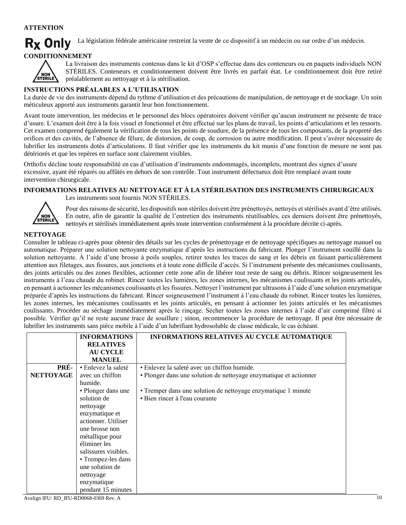# **ATTENTION**

**Rx Only** La législation fédérale américaine restreint la vente de ce dispositif à un médecin ou sur ordre d'un médecin.

# **CONDITIONNEMENT**



La livraison des instruments contenus dans le kit d'OSP s'effectue dans des conteneurs ou en paquets individuels NON STÉRILES. Conteneurs et conditionnement doivent être livrés en parfait état. Le conditionnement doit être retiré préalablement au nettoyage et à la stérilisation.

# **INSTRUCTIONS PRÉALABLES A L'UTILISATION**

La durée de vie des instruments dépend du rythme d'utilisation et des précautions de manipulation, de nettoyage et de stockage. Un soin méticuleux apporté aux instruments garantit leur bon fonctionnement.

Avant toute intervention, les médecins et le personnel des blocs opératoires doivent vérifier qu'aucun instrument ne présente de trace d'usure. L'examen doit être à la fois visuel et fonctionnel et être effectué sur les plans de travail, les points d'articulations et les ressorts. Cet examen comprend également la vérification de tous les points de soudure, de la présence de tous les composants, de la propreté des orifices et des cavités, de l'absence de fêlure, de distorsion, de coup, de corrosion ou autre modification. Il peut s'avérer nécessaire de lubrifier les instruments dotés d'articulations. Il faut vérifier que les instruments du kit munis d'une fonction de mesure ne sont pas détériorés et que les repères en surface sont clairement visibles.

Orthofix décline toute responsabilité en cas d'utilisation d'instruments endommagés, incomplets, montrant des signes d'usure excessive, ayant été réparés ou affûtés en dehors de son contrôle. Tout instrument défectueux doit être remplacé avant toute intervention chirurgicale.

#### **INFORMATIONS RELATIVES AU NETTOYAGE ET À LA STÉRILISATION DES INSTRUMENTS CHIRURGICAUX** Les instruments sont fournis NON STÉRILES.



Pour des raisons de sécurité, les dispositifs non stériles doivent être prénettoyés, nettoyés et stérilisés avant d'être utilisés. En outre, afin de garantir la qualité de l'entretien des instruments réutilisables, ces derniers doivent être prénettoyés, nettoyés et stérilisés immédiatement après toute intervention conformément à la procédure décrite ci-après.

# **NETTOYAGE**

Consulter le tableau ci-après pour obtenir des détails sur les cycles de prénettoyage et de nettoyage spécifiques au nettoyage manuel ou automatique. Préparer une solution nettoyante enzymatique d'après les instructions du fabricant. Plonger l'instrument souillé dans la solution nettoyante. À l'aide d'une brosse à poils souples, retirer toutes les traces de sang et les débris en faisant particulièrement attention aux filetages, aux fissures, aux jonctions et à toute zone difficile d'accès. Si l'instrument présente des mécanismes coulissants, des joints articulés ou des zones flexibles, actionner cette zone afin de libérer tout reste de sang ou débris. Rincer soigneusement les instruments à l'eau chaude du robinet. Rincer toutes les lumières, les zones internes, les mécanismes coulissants et les joints articulés, en pensant à actionner les mécanismes coulissants et les fissures. Nettoyer l'instrument par ultrasons à l'aide d'une solution enzymatique préparée d'après les instructions du fabricant. Rincer soigneusement l'instrument à l'eau chaude du robinet. Rincer toutes les lumières, les zones internes, les mécanismes coulissants et les joints articulés, en pensant à actionner les joints articulés et les mécanismes coulissants. Procéder au séchage immédiatement après le rinçage. Sécher toutes les zones internes à l'aide d'air comprimé filtré si possible. Vérifier qu'il ne reste aucune trace de souillure ; sinon, recommencer la procédure de nettoyage. Il peut être nécessaire de lubrifier les instruments sans pièce mobile à l'aide d'un lubrifiant hydrosoluble de classe médicale, le cas échéant.

|                  | <b>INFORMATIONS</b>  | INFORMATIONS RELATIVES AU CYCLE AUTOMATIQUE                       |
|------------------|----------------------|-------------------------------------------------------------------|
|                  | <b>RELATIVES</b>     |                                                                   |
|                  | <b>AU CYCLE</b>      |                                                                   |
|                  | <b>MANUEL</b>        |                                                                   |
| PRÉ-             | • Enlevez la saleté  | • Enlevez la saleté avec un chiffon humide.                       |
| <b>NETTOYAGE</b> | avec un chiffon      | · Plonger dans une solution de nettoyage enzymatique et actionner |
|                  | humide.              |                                                                   |
|                  | • Plonger dans une   | • Tremper dans une solution de nettoyage enzymatique 1 minute     |
|                  | solution de          | • Bien rincer à l'eau courante                                    |
|                  | nettoyage            |                                                                   |
|                  | enzymatique et       |                                                                   |
|                  | actionner. Utiliser  |                                                                   |
|                  | une brosse non       |                                                                   |
|                  | métallique pour      |                                                                   |
|                  | éliminer les         |                                                                   |
|                  | salissures visibles. |                                                                   |
|                  | • Trempez-les dans   |                                                                   |
|                  | une solution de      |                                                                   |
|                  | nettoyage            |                                                                   |
|                  | enzymatique          |                                                                   |
|                  | pendant 15 minutes   |                                                                   |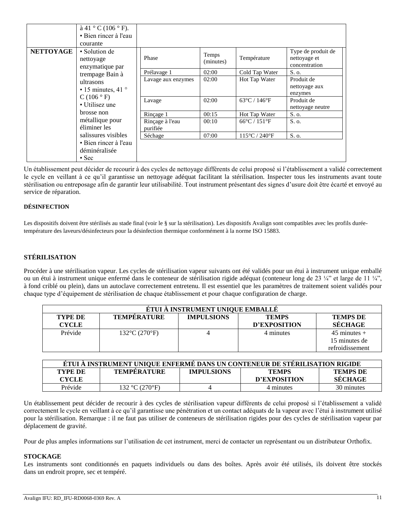| <b>NETTOYAGE</b> | $\grave{a}$ 41 ° C (106 ° F).<br>• Bien rincer à l'eau<br>courante<br>• Solution de |                             |                    |                                    | Type de produit de             |
|------------------|-------------------------------------------------------------------------------------|-----------------------------|--------------------|------------------------------------|--------------------------------|
|                  | nettoyage<br>enzymatique par                                                        | Phase                       | Temps<br>(minutes) | Température                        | nettoyage et<br>concentration  |
|                  | trempage Bain à                                                                     | Prélavage 1                 | 02:00              | Cold Tap Water                     | S. o.                          |
|                  | ultrasons                                                                           | Lavage aux enzymes          | 02:00              | Hot Tap Water                      | Produit de                     |
|                  | $\cdot$ 15 minutes, 41 $\circ$                                                      |                             |                    |                                    | nettoyage aux<br>enzymes       |
|                  | C(106° F)<br>• Utilisez une                                                         | Lavage                      | 02:00              | $63^{\circ}$ C / 146 $^{\circ}$ F  | Produit de<br>nettoyage neutre |
|                  | brosse non                                                                          | Rincage 1                   | 00:15              | Hot Tap Water                      | S. o.                          |
|                  | métallique pour<br>éliminer les                                                     | Rinçage à l'eau<br>purifiée | 00:10              | $66^{\circ}$ C / 151 $^{\circ}$ F  | S. o.                          |
|                  | salissures visibles                                                                 | Séchage                     | 07:00              | $115^{\circ}$ C / 240 $^{\circ}$ F | S. o.                          |
|                  | • Bien rincer à l'eau<br>déminéralisée<br>$\cdot$ Sec                               |                             |                    |                                    |                                |

Un établissement peut décider de recourir à des cycles de nettoyage différents de celui proposé si l'établissement a validé correctement le cycle en veillant à ce qu'il garantisse un nettoyage adéquat facilitant la stérilisation. Inspecter tous les instruments avant toute stérilisation ou entreposage afin de garantir leur utilisabilité. Tout instrument présentant des signes d'usure doit être écarté et envoyé au service de réparation.

#### **DÉSINFECTION**

Les dispositifs doivent être stérilisés au stade final (voir le § sur la stérilisation). Les dispositifs Avalign sont compatibles avec les profils duréetempérature des laveurs/désinfecteurs pour la désinfection thermique conformément à la norme ISO 15883.

# **STÉRILISATION**

Procéder à une stérilisation vapeur. Les cycles de stérilisation vapeur suivants ont été validés pour un étui à instrument unique emballé ou un étui à instrument unique enfermé dans le conteneur de stérilisation rigide adéquat (conteneur long de 23 ¼" et large de 11 ¼", à fond criblé ou plein), dans un autoclave correctement entretenu. Il est essentiel que les paramètres de traitement soient validés pour chaque type d'équipement de stérilisation de chaque établissement et pour chaque configuration de charge.

| ÉTUI À INSTRUMENT UNIQUE EMBALLÉ |                                    |                   |              |                  |
|----------------------------------|------------------------------------|-------------------|--------------|------------------|
| <b>TYPE DE</b>                   | <b>TEMPÉRATURE</b>                 | <b>IMPULSIONS</b> | <b>TEMPS</b> | <b>TEMPS DE</b>  |
| <b>CYCLE</b>                     |                                    |                   | D'EXPOSITION | SÉCHAGE          |
| Prévide                          | $132^{\circ}$ C (270 $^{\circ}$ F) |                   | 4 minutes    | $45$ minutes $+$ |
|                                  |                                    |                   |              | 15 minutes de    |
|                                  |                                    |                   |              | refroidissement  |

| ETUI A INSTRUMENT UNIQUE ENFERMÉ DANS UN CONTENEUR DE STERILISATION RIGIDE |                    |                   |              |                 |
|----------------------------------------------------------------------------|--------------------|-------------------|--------------|-----------------|
| TYPE DE                                                                    | <b>TEMPERATURE</b> | <b>IMPULSIONS</b> | <b>TEMPS</b> | <b>TEMPS DE</b> |
| <b>CYCLE</b>                                                               |                    |                   | D'EXPOSITION | SECHAGE         |
| Prévide                                                                    | 132 °C (270°F)     |                   | 4 minutes    | 30 minutes      |

Un établissement peut décider de recourir à des cycles de stérilisation vapeur différents de celui proposé si l'établissement a validé correctement le cycle en veillant à ce qu'il garantisse une pénétration et un contact adéquats de la vapeur avec l'étui à instrument utilisé pour la stérilisation. Remarque : il ne faut pas utiliser de conteneurs de stérilisation rigides pour des cycles de stérilisation vapeur par déplacement de gravité.

Pour de plus amples informations sur l'utilisation de cet instrument, merci de contacter un représentant ou un distributeur Orthofix.

#### **STOCKAGE**

Les instruments sont conditionnés en paquets individuels ou dans des boîtes. Après avoir été utilisés, ils doivent être stockés dans un endroit propre, sec et tempéré.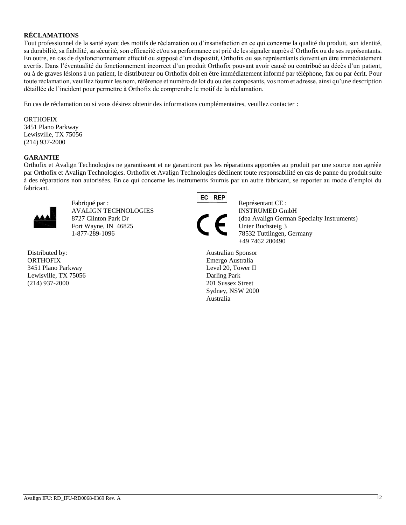## **RÉCLAMATIONS**

Tout professionnel de la santé ayant des motifs de réclamation ou d'insatisfaction en ce qui concerne la qualité du produit, son identité, sa durabilité, sa fiabilité, sa sécurité, son efficacité et/ou sa performance est prié de les signaler auprès d'Orthofix ou de ses représentants. En outre, en cas de dysfonctionnement effectif ou supposé d'un dispositif, Orthofix ou ses représentants doivent en être immédiatement avertis. Dans l'éventualité du fonctionnement incorrect d'un produit Orthofix pouvant avoir causé ou contribué au décès d'un patient, ou à de graves lésions à un patient, le distributeur ou Orthofix doit en être immédiatement informé par téléphone, fax ou par écrit. Pour toute réclamation, veuillez fournir les nom, référence et numéro de lot du ou des composants, vos nom et adresse, ainsi qu'une description détaillée de l'incident pour permettre à Orthofix de comprendre le motif de la réclamation.

En cas de réclamation ou si vous désirez obtenir des informations complémentaires, veuillez contacter :

**ORTHOFIX** 3451 Plano Parkway Lewisville, TX 75056 (214) 937-2000

#### **GARANTIE**

Orthofix et Avalign Technologies ne garantissent et ne garantiront pas les réparations apportées au produit par une source non agréée par Orthofix et Avalign Technologies. Orthofix et Avalign Technologies déclinent toute responsabilité en cas de panne du produit suite à des réparations non autorisées. En ce qui concerne les instruments fournis par un autre fabricant, se reporter au mode d'emploi du fabricant.



Fabriqué par : Représentant CE : AVALIGN TECHNOLOGIES INSTRUMED GmbH Fort Wayne, IN 46825 Unter Buchsteig 3 1-877-289-1096 78532 Tuttlingen, Germany

Distributed by: ORTHOFIX 3451 Plano Parkway Lewisville, TX 75056 (214) 937-2000

**REP** EC



8727 Clinton Park Dr (dba Avalign German Specialty Instruments) +49 7462 200490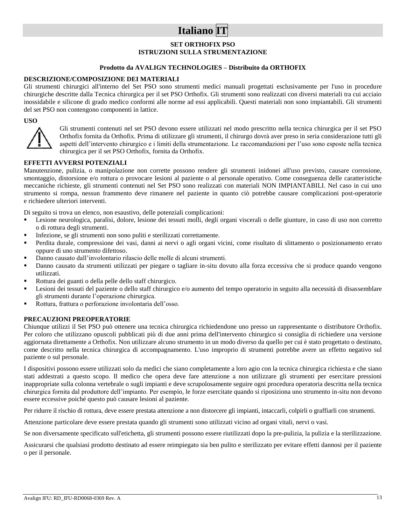# **Italiano IT**

### **SET ORTHOFIX PSO ISTRUZIONI SULLA STRUMENTAZIONE**

#### **Prodotto da AVALIGN TECHNOLOGIES – Distribuito da ORTHOFIX**

#### **DESCRIZIONE/COMPOSIZIONE DEI MATERIALI**

Gli strumenti chirurgici all'interno del Set PSO sono strumenti medici manuali progettati esclusivamente per l'uso in procedure chirurgiche descritte dalla Tecnica chirurgica per il set PSO Orthofix. Gli strumenti sono realizzati con diversi materiali tra cui acciaio inossidabile e silicone di grado medico conformi alle norme ad essi applicabili. Questi materiali non sono impiantabili. Gli strumenti del set PSO non contengono componenti in lattice.

#### **USO**



Gli strumenti contenuti nel set PSO devono essere utilizzati nel modo prescritto nella tecnica chirurgica per il set PSO Orthofix fornita da Orthofix. Prima di utilizzare gli strumenti, il chirurgo dovrà aver preso in seria considerazione tutti gli aspetti dell'intervento chirurgico e i limiti della strumentazione. Le raccomandazioni per l'uso sono esposte nella tecnica chirurgica per il set PSO Orthofix, fornita da Orthofix.

#### **EFFETTI AVVERSI POTENZIALI**

Manutenzione, pulizia, o manipolazione non corrette possono rendere gli strumenti inidonei all'uso previsto, causare corrosione, smontaggio, distorsione e/o rottura o provocare lesioni al paziente o al personale operativo. Come conseguenza delle caratteristiche meccaniche richieste, gli strumenti contenuti nel Set PSO sono realizzati con materiali NON IMPIANTABILI. Nel caso in cui uno strumento si rompa, nessun frammento deve rimanere nel paziente in quanto ciò potrebbe causare complicazioni post-operatorie e richiedere ulteriori interventi.

Di seguito si trova un elenco, non esaustivo, delle potenziali complicazioni:

- Lesione neurologica, paralisi, dolore, lesione dei tessuti molli, degli organi viscerali o delle giunture, in caso di uso non corretto o di rottura degli strumenti.
- Infezione, se gli strumenti non sono puliti e sterilizzati correttamente.
- Perdita durale, compressione dei vasi, danni ai nervi o agli organi vicini, come risultato di slittamento o posizionamento errato oppure di uno strumento difettoso.
- Danno causato dall'involontario rilascio delle molle di alcuni strumenti.
- Danno causato da strumenti utilizzati per piegare o tagliare in-situ dovuto alla forza eccessiva che si produce quando vengono utilizzati.
- Rottura dei guanti o della pelle dello staff chirurgico.
- Lesioni dei tessuti del paziente o dello staff chirurgico e/o aumento del tempo operatorio in seguito alla necessità di disassemblare gli strumenti durante l'operazione chirurgica.
- Rottura, frattura o perforazione involontaria dell'osso.

#### **PRECAUZIONI PREOPERATORIE**

Chiunque utilizzi il Set PSO può ottenere una tecnica chirurgica richiedendone uno presso un rappresentante o distributore Orthofix. Per coloro che utilizzano opuscoli pubblicati più di due anni prima dell'intervento chirurgico si consiglia di richiedere una versione aggiornata direttamente a Orthofix. Non utilizzare alcuno strumento in un modo diverso da quello per cui è stato progettato o destinato, come descritto nella tecnica chirurgica di accompagnamento. L'uso improprio di strumenti potrebbe avere un effetto negativo sul paziente o sul personale.

I dispositivi possono essere utilizzati solo da medici che siano completamente a loro agio con la tecnica chirurgica richiesta e che siano stati addestrati a questo scopo. Il medico che opera deve fare attenzione a non utilizzare gli strumenti per esercitare pressioni inappropriate sulla colonna vertebrale o sugli impianti e deve scrupolosamente seguire ogni procedura operatoria descritta nella tecnica chirurgica fornita dal produttore dell'impianto. Per esempio, le forze esercitate quando si riposiziona uno strumento in-situ non devono essere eccessive poiché questo può causare lesioni al paziente.

Per ridurre il rischio di rottura, deve essere prestata attenzione a non distorcere gli impianti, intaccarli, colpirli o graffiarli con strumenti.

Attenzione particolare deve essere prestata quando gli strumenti sono utilizzati vicino ad organi vitali, nervi o vasi.

Se non diversamente specificato sull'etichetta, gli strumenti possono essere riutilizzati dopo la pre-pulizia, la pulizia e la sterilizzazione.

Assicurarsi che qualsiasi prodotto destinato ad essere reimpiegato sia ben pulito e sterilizzato per evitare effetti dannosi per il paziente o per il personale.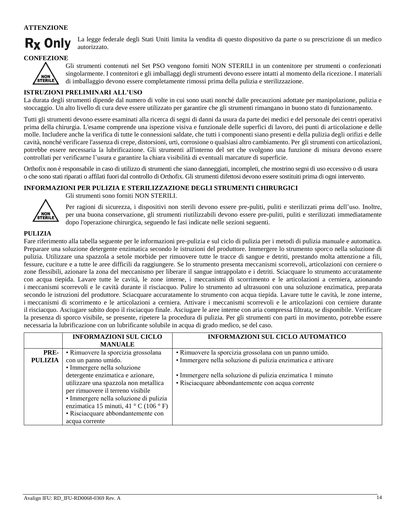### **ATTENZIONE**



La legge federale degli Stati Uniti limita la vendita di questo dispositivo da parte o su prescrizione di un medico autorizzato.

### **CONFEZIONE**



Gli strumenti contenuti nel Set PSO vengono forniti NON STERILI in un contenitore per strumenti o confezionati singolarmente. I contenitori e gli imballaggi degli strumenti devono essere intatti al momento della ricezione. I materiali di imballaggio devono essere completamente rimossi prima della pulizia e sterilizzazione.

#### **ISTRUZIONI PRELIMINARI ALL'USO**

La durata degli strumenti dipende dal numero di volte in cui sono usati nonché dalle precauzioni adottate per manipolazione, pulizia e stoccaggio. Un alto livello di cura deve essere utilizzato per garantire che gli strumenti rimangano in buono stato di funzionamento.

Tutti gli strumenti devono essere esaminati alla ricerca di segni di danni da usura da parte dei medici e del personale dei centri operativi prima della chirurgia. L'esame comprende una ispezione visiva e funzionale delle superfici di lavoro, dei punti di articolazione e delle molle. Includere anche la verifica di tutte le connessioni saldate, che tutti i componenti siano presenti e della pulizia degli orifizi e delle cavità, nonché verificare l'assenza di crepe, distorsioni, urti, corrosione o qualsiasi altro cambiamento. Per gli strumenti con articolazioni, potrebbe essere necessaria la lubrificazione. Gli strumenti all'interno del set che svolgono una funzione di misura devono essere controllati per verificarne l'usura e garantire la chiara visibilità di eventuali marcature di superficie.

Orthofix non è responsabile in caso di utilizzo di strumenti che siano danneggiati, incompleti, che mostrino segni di uso eccessivo o di usura o che sono stati riparati o affilati fuori dal controllo di Orthofix. Gli strumenti difettosi devono essere sostituiti prima di ogni intervento.

#### **INFORMAZIONI PER PULIZIA E STERILIZZAZIONE DEGLI STRUMENTI CHIRURGICI**



Gli strumenti sono forniti NON STERILI.

Per ragioni di sicurezza, i dispositivi non sterili devono essere pre-puliti, puliti e sterilizzati prima dell'uso. Inoltre, per una buona conservazione, gli strumenti riutilizzabili devono essere pre-puliti, puliti e sterilizzati immediatamente dopo l'operazione chirurgica, seguendo le fasi indicate nelle sezioni seguenti.

#### **PULIZIA**

Fare riferimento alla tabella seguente per le informazioni pre-pulizia e sul ciclo di pulizia per i metodi di pulizia manuale e automatica. Preparare una soluzione detergente enzimatica secondo le istruzioni del produttore. Immergere lo strumento sporco nella soluzione di pulizia. Utilizzare una spazzola a setole morbide per rimuovere tutte le tracce di sangue e detriti, prestando molta attenzione a fili, fessure, cuciture e a tutte le aree difficili da raggiungere. Se lo strumento presenta meccanismi scorrevoli, articolazioni con cerniere o zone flessibili, azionare la zona del meccanismo per liberare il sangue intrappolato e i detriti. Sciacquare lo strumento accuratamente con acqua tiepida. Lavare tutte le cavità, le zone interne, i meccanismi di scorrimento e le articolazioni a cerniera, azionando i meccanismi scorrevoli e le cavità durante il risciacquo. Pulire lo strumento ad ultrasuoni con una soluzione enzimatica, preparata secondo le istruzioni del produttore. Sciacquare accuratamente lo strumento con acqua tiepida. Lavare tutte le cavità, le zone interne, i meccanismi di scorrimento e le articolazioni a cerniera. Attivare i meccanismi scorrevoli e le articolazioni con cerniere durante il risciacquo. Asciugare subito dopo il risciacquo finale. Asciugare le aree interne con aria compressa filtrata, se disponibile. Verificare la presenza di sporco visibile, se presente, ripetere la procedura di pulizia. Per gli strumenti con parti in movimento, potrebbe essere necessaria la lubrificazione con un lubrificante solubile in acqua di grado medico, se del caso.

|                | <b>INFORMAZIONI SUL CICLO</b>          | INFORMAZIONI SUL CICLO AUTOMATICO                            |
|----------------|----------------------------------------|--------------------------------------------------------------|
|                | <b>MANUALE</b>                         |                                                              |
| PRE-           | · Rimuovere la sporcizia grossolana    | · Rimuovere la sporcizia grossolana con un panno umido.      |
| <b>PULIZIA</b> | con un panno umido.                    | · Immergere nella soluzione di pulizia enzimatica e attivare |
|                | · Immergere nella soluzione            |                                                              |
|                | detergente enzimatica e azionare,      | · Immergere nella soluzione di pulizia enzimatica 1 minuto   |
|                | utilizzare una spazzola non metallica  | • Risciacquare abbondantemente con acqua corrente            |
|                | per rimuovere il terreno visibile      |                                                              |
|                | · Immergere nella soluzione di pulizia |                                                              |
|                | enzimatica 15 minuti, 41 ° C (106 ° F) |                                                              |
|                | · Risciacquare abbondantemente con     |                                                              |
|                | acqua corrente                         |                                                              |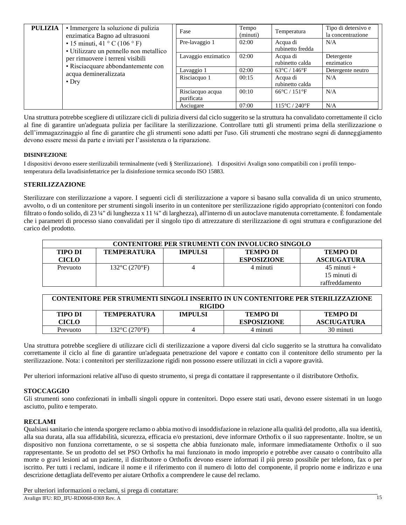| PULIZIA | • Immergere la soluzione di pulizia<br>enzimatica Bagno ad ultrasuoni         | Fase                           | Tempo<br>(minuti) | Temperatura                        | Tipo di detersivo e<br>la concentrazione |
|---------|-------------------------------------------------------------------------------|--------------------------------|-------------------|------------------------------------|------------------------------------------|
|         | $\cdot$ 15 minuti, 41 ° C (106 ° F)<br>· Utilizzare un pennello non metallico | Pre-lavaggio 1                 | 02:00             | Acqua di<br>rubinetto fredda       | N/A                                      |
|         | per rimuovere i terreni visibili<br>• Risciacquare abbondantemente con        | Lavaggio enzimatico            | 02:00             | Acqua di<br>rubinetto calda        | Detergente<br>enzimatico                 |
|         | acqua demineralizzata<br>$\bullet$ Dry                                        | Lavaggio 1                     | 02:00             | $63^{\circ}$ C / 146 $^{\circ}$ F  | Detergente neutro                        |
|         |                                                                               | Risciacquo 1                   | 00:15             | Acqua di<br>rubinetto calda        | N/A                                      |
|         |                                                                               | Risciacquo acqua<br>purificata | 00:10             | $66^{\circ}$ C / 151 $^{\circ}$ F  | N/A                                      |
|         |                                                                               | Asciugare                      | 07:00             | $115^{\circ}$ C / 240 $^{\circ}$ F | N/A                                      |

Una struttura potrebbe scegliere di utilizzare cicli di pulizia diversi dal ciclo suggerito se la struttura ha convalidato correttamente il ciclo al fine di garantire un'adeguata pulizia per facilitare la sterilizzazione. Controllare tutti gli strumenti prima della sterilizzazione o dell'immagazzinaggio al fine di garantire che gli strumenti sono adatti per l'uso. Gli strumenti che mostrano segni di danneggiamento devono essere messi da parte e inviati per l'assistenza o la riparazione.

#### **DISINFEZIONE**

I dispositivi devono essere sterilizzabili terminalmente (vedi § Sterilizzazione). I dispositivi Avalign sono compatibili con i profili tempotemperatura della lavadisinfettatrice per la disinfezione termica secondo ISO 15883.

### **STERILIZZAZIONE**

Sterilizzare con sterilizzazione a vapore. I seguenti cicli di sterilizzazione a vapore si basano sulla convalida di un unico strumento, avvolto, o di un contenitore per strumenti singoli inserito in un contenitore per sterilizzazione rigido appropriato (contenitori con fondo filtrato o fondo solido, di 23 ¼" di lunghezza x 11 ¼" di larghezza), all'interno di un autoclave manutenuta correttamente. È fondamentale che i parametri di processo siano convalidati per il singolo tipo di attrezzature di sterilizzazione di ogni struttura e configurazione del carico del prodotto.

|                                                                                              | <b>CONTENITORE PER STRUMENTI CON INVOLUCRO SINGOLO</b> |  |                    |                    |  |  |
|----------------------------------------------------------------------------------------------|--------------------------------------------------------|--|--------------------|--------------------|--|--|
| <b>TEMPO DI</b><br><b>TIPO DI</b><br><b>IMPULSI</b><br><b>TEMPO DI</b><br><b>TEMPERATURA</b> |                                                        |  |                    |                    |  |  |
| <b>CICLO</b>                                                                                 |                                                        |  | <b>ESPOSIZIONE</b> | <b>ASCIUGATURA</b> |  |  |
| Prevuoto                                                                                     | $132^{\circ}$ C (270 $^{\circ}$ F)                     |  | 4 minuti           | $45$ minuti $+$    |  |  |
|                                                                                              |                                                        |  |                    | 15 minuti di       |  |  |
|                                                                                              |                                                        |  |                    | raffreddamento     |  |  |

| CONTENITORE PER STRUMENTI SINGOLI INSERITO IN UN CONTENITORE PER STERILIZZAZIONE |                                    |                |                    |                    |  |  |
|----------------------------------------------------------------------------------|------------------------------------|----------------|--------------------|--------------------|--|--|
|                                                                                  | <b>RIGIDO</b>                      |                |                    |                    |  |  |
| <b>TIPO DI</b>                                                                   | <b>TEMPERATURA</b>                 | <b>IMPULSI</b> | <b>TEMPO DI</b>    | <b>TEMPO DI</b>    |  |  |
| <b>CICLO</b>                                                                     |                                    |                | <b>ESPOSIZIONE</b> | <b>ASCIUGATURA</b> |  |  |
| Prevuoto                                                                         | $132^{\circ}$ C (270 $^{\circ}$ F) |                | 4 minuti           | 30 minuti          |  |  |

Una struttura potrebbe scegliere di utilizzare cicli di sterilizzazione a vapore diversi dal ciclo suggerito se la struttura ha convalidato correttamente il ciclo al fine di garantire un'adeguata penetrazione del vapore e contatto con il contenitore dello strumento per la sterilizzazione. Nota: i contenitori per sterilizzazione rigidi non possono essere utilizzati in cicli a vapore gravità.

Per ulteriori informazioni relative all'uso di questo strumento, si prega di contattare il rappresentante o il distributore Orthofix.

#### **STOCCAGGIO**

Gli strumenti sono confezionati in imballi singoli oppure in contenitori. Dopo essere stati usati, devono essere sistemati in un luogo asciutto, pulito e temperato.

#### **RECLAMI**

Qualsiasi sanitario che intenda sporgere reclamo o abbia motivo di insoddisfazione in relazione alla qualità del prodotto, alla sua identità, alla sua durata, alla sua affidabilità, sicurezza, efficacia e/o prestazioni, deve informare Orthofix o il suo rappresentante. Inoltre, se un dispositivo non funziona correttamente, o se si sospetta che abbia funzionato male, informare immediatamente Orthofix o il suo rappresentante. Se un prodotto del set PSO Orthofix ha mai funzionato in modo improprio e potrebbe aver causato o contribuito alla morte o gravi lesioni ad un paziente, il distributore o Orthofix devono essere informati il più presto possibile per telefono, fax o per iscritto. Per tutti i reclami, indicare il nome e il riferimento con il numero di lotto del componente, il proprio nome e indirizzo e una descrizione dettagliata dell'evento per aiutare Orthofix a comprendere le cause del reclamo.

Per ulteriori informazioni o reclami, si prega di contattare: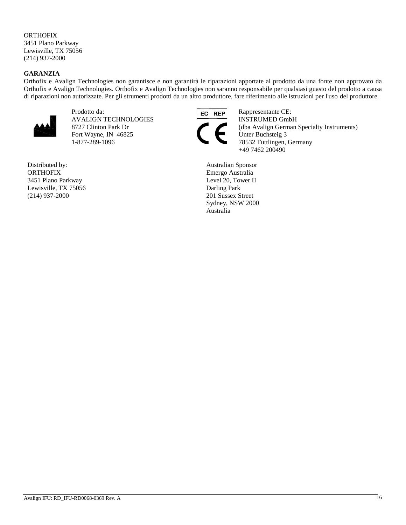# **ORTHOFIX**

3451 Plano Parkway Lewisville, TX 75056 (214) 937-2000

### **GARANZIA**

Orthofix e Avalign Technologies non garantisce e non garantirà le riparazioni apportate al prodotto da una fonte non approvato da Orthofix e Avalign Technologies. Orthofix e Avalign Technologies non saranno responsabile per qualsiasi guasto del prodotto a causa di riparazioni non autorizzate. Per gli strumenti prodotti da un altro produttore, fare riferimento alle istruzioni per l'uso del produttore.



Prodotto da: **REP** Rappresentante CE: AVALIGN TECHNOLOGIES INSTRUMED GmbH Fort Wayne, IN 46825 Unter Buchsteig 3 1-877-289-1096 78532 Tuttlingen, Germany

Distributed by: **ORTHOFIX** 3451 Plano Parkway Lewisville, TX 75056 (214) 937-2000



8727 Clinton Park Dr (dba Avalign German Specialty Instruments)<br>Fort Wayne, IN 46825 Unter Buchsteig 3 +49 7462 200490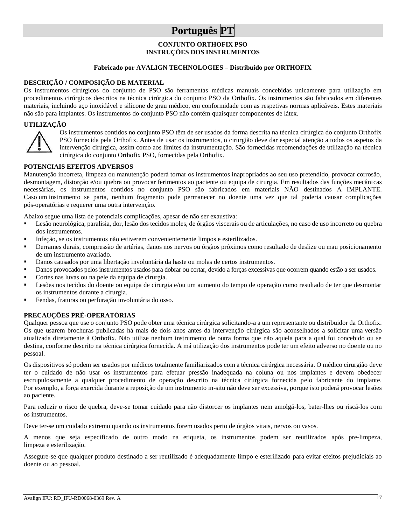# **Português PT**

#### **CONJUNTO ORTHOFIX PSO INSTRUÇÕES DOS INSTRUMENTOS**

#### **Fabricado por AVALIGN TECHNOLOGIES – Distribuído por ORTHOFIX**

#### **DESCRIÇÃO / COMPOSIÇÃO DE MATERIAL**

Os instrumentos cirúrgicos do conjunto de PSO são ferramentas médicas manuais concebidas unicamente para utilização em procedimentos cirúrgicos descritos na técnica cirúrgica do conjunto PSO da Orthofix. Os instrumentos são fabricados em diferentes materiais, incluindo aço inoxidável e silicone de grau médico, em conformidade com as respetivas normas aplicáveis. Estes materiais não são para implantes. Os instrumentos do conjunto PSO não contêm quaisquer componentes de látex.

#### **UTILIZAÇÃO**



Os instrumentos contidos no conjunto PSO têm de ser usados da forma descrita na técnica cirúrgica do conjunto Orthofix PSO fornecida pela Orthofix. Antes de usar os instrumentos, o cirurgião deve dar especial atenção a todos os aspetos da intervenção cirúrgica, assim como aos limites da instrumentação. São fornecidas recomendações de utilização na técnica cirúrgica do conjunto Orthofix PSO, fornecidas pela Orthofix.

#### **POTENCIAIS EFEITOS ADVERSOS**

Manutenção incorreta, limpeza ou manutenção poderá tornar os instrumentos inapropriados ao seu uso pretendido, provocar corrosão, desmontagem, distorção e/ou quebra ou provocar ferimentos ao paciente ou equipa de cirurgia. Em resultados das funções mecânicas necessárias, os instrumentos contidos no conjunto PSO são fabricados em materiais NÃO destinados A IMPLANTE. Caso um instrumento se parta, nenhum fragmento pode permanecer no doente uma vez que tal poderia causar complicações pós-operatórias e requerer uma outra intervenção.

Abaixo segue uma lista de potenciais complicações, apesar de não ser exaustiva:

- Lesão neurológica, paralisia, dor, lesão dos tecidos moles, de órgãos viscerais ou de articulações, no caso de uso incorreto ou quebra dos instrumentos.
- Infeção, se os instrumentos não estiverem convenientemente limpos e esterilizados.
- Derrames durais, compressão de artérias, danos nos nervos ou órgãos próximos como resultado de deslize ou mau posicionamento de um instrumento avariado.
- Danos causados por uma libertação involuntária da haste ou molas de certos instrumentos.
- Danos provocados pelos instrumentos usados para dobrar ou cortar, devido a forças excessivas que ocorrem quando estão a ser usados.
- Cortes nas luvas ou na pele da equipa de cirurgia.
- Lesões nos tecidos do doente ou equipa de cirurgia e/ou um aumento do tempo de operação como resultado de ter que desmontar os instrumentos durante a cirurgia.
- Fendas, fraturas ou perfuração involuntária do osso.

#### **PRECAUÇÕES PRÉ-OPERATÓRIAS**

Qualquer pessoa que use o conjunto PSO pode obter uma técnica cirúrgica solicitando-a a um representante ou distribuidor da Orthofix. Os que usarem brochuras publicadas há mais de dois anos antes da intervenção cirúrgica são aconselhados a solicitar uma versão atualizada diretamente à Orthofix. Não utilize nenhum instrumento de outra forma que não aquela para a qual foi concebido ou se destina, conforme descrito na técnica cirúrgica fornecida. A má utilização dos instrumentos pode ter um efeito adverso no doente ou no pessoal.

Os dispositivos só podem ser usados por médicos totalmente familiarizados com a técnica cirúrgica necessária. O médico cirurgião deve ter o cuidado de não usar os instrumentos para efetuar pressão inadequada na coluna ou nos implantes e devem obedecer escrupulosamente a qualquer procedimento de operação descrito na técnica cirúrgica fornecida pelo fabricante do implante. Por exemplo, a força exercida durante a reposição de um instrumento in-situ não deve ser excessiva, porque isto poderá provocar lesões ao paciente.

Para reduzir o risco de quebra, deve-se tomar cuidado para não distorcer os implantes nem amolgá-los, bater-lhes ou riscá-los com os instrumentos.

Deve ter-se um cuidado extremo quando os instrumentos forem usados perto de órgãos vitais, nervos ou vasos.

A menos que seja especificado de outro modo na etiqueta, os instrumentos podem ser reutilizados após pre-limpeza, limpeza e esterilização.

Assegure-se que qualquer produto destinado a ser reutilizado é adequadamente limpo e esterilizado para evitar efeitos prejudiciais ao doente ou ao pessoal.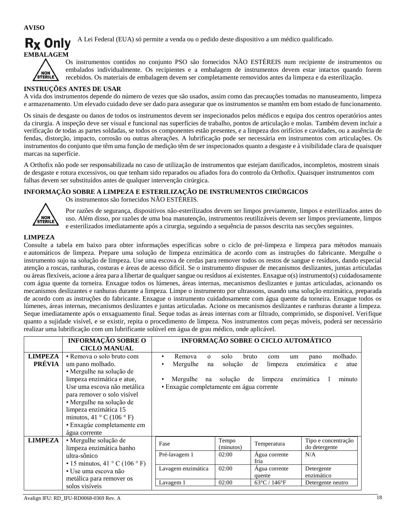**AVISO**



A Lei Federal (EUA) só permite a venda ou o pedido deste dispositivo a um médico qualificado.



Os instrumentos contidos no conjunto PSO são fornecidos NÃO ESTÉREIS num recipiente de instrumentos ou embalados individualmente. Os recipientes e a embalagem de instrumentos devem estar intactos quando forem recebidos. Os materiais de embalagem devem ser completamente removidos antes da limpeza e da esterilização.

# **INSTRUÇÕES ANTES DE USAR**

A vida dos instrumentos depende do número de vezes que são usados, assim como das precauções tomadas no manuseamento, limpeza e armazenamento. Um elevado cuidado deve ser dado para assegurar que os instrumentos se mantêm em bom estado de funcionamento.

Os sinais de desgaste ou danos de todos os instrumentos devem ser inspecionados pelos médicos e equipa dos centros operatórios antes da cirurgia. A inspeção deve ser visual e funcional nas superfícies de trabalho, pontos de articulação e molas. Também devem incluir a verificação de todas as partes soldadas, se todos os componentes estão presentes, e a limpeza dos orifícios e cavidades, ou a ausência de fendas, distorção, impacto, corrosão ou outras alterações. A lubrificação pode ser necessária em instrumentos com articulações. Os instrumentos do conjunto que têm uma função de medição têm de ser inspecionados quanto a desgaste e à visibilidade clara de quaisquer marcas na superfície.

A Orthofix não pode ser responsabilizada no caso de utilização de instrumentos que estejam danificados, incompletos, mostrem sinais de desgaste e rotura excessivos, ou que tenham sido reparados ou afiados fora do controlo da Orthofix. Quaisquer instrumentos com falhas devem ser substituídos antes de qualquer intervenção cirúrgica.

### **INFORMAÇÃO SOBRE A LIMPEZA E ESTERILIZAÇÃO DE INSTRUMENTOS CIRÚRGICOS**



Os instrumentos são fornecidos NÃO ESTÉREIS.

Por razões de segurança, dispositivos não-esterilizados devem ser limpos previamente, limpos e esterilizados antes do uso. Além disso, por razões de uma boa manutenção, instrumentos reutilizáveis devem ser limpos previamente, limpos e esterilizados imediatamente após a cirurgia, seguindo a sequência de passos descrita nas secções seguintes.

### **LIMPEZA**

Consulte a tabela em baixo para obter informações específicas sobre o ciclo de pré-limpeza e limpeza para métodos manuais e automáticos de limpeza. Prepare uma solução de limpeza enzimática de acordo com as instruções do fabricante. Mergulhe o instrumento sujo na solução de limpeza. Use uma escova de cerdas para remover todos os restos de sangue e resíduos, dando especial atenção a roscas, ranhuras, costuras e áreas de acesso difícil. Se o instrumento dispuser de mecanismos deslizantes, juntas articuladas ou áreas flexíveis, acione a área para a libertar de qualquer sangue ou resíduos aí existentes. Enxague o(s) instrumento(s) cuidadosamente com água quente da torneira. Enxague todos os lúmenes, áreas internas, mecanismos deslizantes e juntas articuladas, acionando os mecanismos deslizantes e ranhuras durante a limpeza. Limpe o instrumento por ultrassons, usando uma solução enzimática, preparada de acordo com as instruções do fabricante. Enxague o instrumento cuidadosamente com água quente da torneira. Enxague todos os lúmenes, áreas internas, mecanismos deslizantes e juntas articuladas. Acione os mecanismos deslizantes e ranhuras durante a limpeza. Seque imediatamente após o enxaguamento final. Seque todas as áreas internas com ar filtrado, comprimido, se disponível. Verifique quanto a sujidade visível, e se existir, repita o procedimento de limpeza. Nos instrumentos com peças móveis, poderá ser necessário realizar uma lubrificação com um lubrificante solúvel em água de grau médico, onde aplicável.

|                                 | <b>INFORMAÇÃO SOBRE O</b><br><b>CICLO MANUAL</b>                                                                                                                                                                                                                                                       | INFORMAÇÃO SOBRE O CICLO AUTOMÁTICO                                                                |                             |                                                              |                                                                     |
|---------------------------------|--------------------------------------------------------------------------------------------------------------------------------------------------------------------------------------------------------------------------------------------------------------------------------------------------------|----------------------------------------------------------------------------------------------------|-----------------------------|--------------------------------------------------------------|---------------------------------------------------------------------|
| <b>LIMPEZA</b><br><b>PRÉVIA</b> | • Remova o solo bruto com<br>um pano molhado.<br>· Mergulhe na solução de<br>limpeza enzimática e atue,<br>Use uma escova não metálica<br>para remover o solo visível<br>· Mergulhe na solução de<br>limpeza enzimática 15<br>minutos, 41 ° C (106 ° F)<br>· Enxagúe completamente em<br>água corrente | Remova<br>$\Omega$<br>Mergulhe<br>na<br>Mergulhe<br>na<br>· Enxagúe completamente em água corrente | solo<br>solução<br>solução  | bruto<br>com<br>um<br>de<br>limpeza<br>limpeza<br>de         | molhado.<br>pano<br>enzimática<br>atue<br>e<br>enzimática<br>minuto |
| <b>LIMPEZA</b>                  | · Mergulhe solução de<br>limpeza enzimática banho<br>ultra-sônico<br>$\cdot$ 15 minutos, 41 ° C (106 ° F)                                                                                                                                                                                              | Fase<br>Pré-lavagem 1                                                                              | Tempo<br>(minutos)<br>02:00 | Temperatura<br>Água corrente<br>fria                         | Tipo e concentração<br>do detergente<br>N/A                         |
|                                 | • Use uma escova não<br>metálica para remover os<br>solos visíveis                                                                                                                                                                                                                                     | Lavagem enzimática<br>Lavagem 1                                                                    | 02:00<br>02:00              | Agua corrente<br>quente<br>$63^{\circ}$ C / 146 $^{\circ}$ F | Detergente<br>enzimático<br>Detergente neutro                       |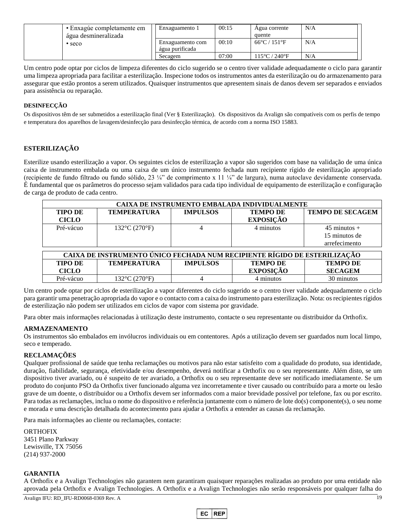| • Enxagúe completamente em<br>água desmineralizada | Enxaguamento 1                      | 00:15 | Agua corrente<br>quente           | N/A |
|----------------------------------------------------|-------------------------------------|-------|-----------------------------------|-----|
| $\cdot$ seco                                       | Enxaguamento com<br>água purificada | 00:10 | $66^{\circ}$ C / 151 $^{\circ}$ F | N/A |
|                                                    | Secagem                             | 07:00 | 115°C / 240°F                     | N/A |

Um centro pode optar por ciclos de limpeza diferentes do ciclo sugerido se o centro tiver validade adequadamente o ciclo para garantir uma limpeza apropriada para facilitar a esterilização. Inspecione todos os instrumentos antes da esterilização ou do armazenamento para assegurar que estão prontos a serem utilizados. Quaisquer instrumentos que apresentem sinais de danos devem ser separados e enviados para assistência ou reparação.

#### **DESINFECÇÃO**

Os dispositivos têm de ser submetidos a esterilização final (Ver § Esterilização). Os dispositivos da Avalign são compatíveis com os perfis de tempo e temperatura dos aparelhos de lavagem/desinfecção para desinfecção térmica, de acordo com a norma ISO 15883.

### **ESTERILIZAÇÃO**

Esterilize usando esterilização a vapor. Os seguintes ciclos de esterilização a vapor são sugeridos com base na validação de uma única caixa de instrumento embalada ou uma caixa de um único instrumento fechada num recipiente rígido de esterilização apropriado (recipiente de fundo filtrado ou fundo sólido, 23 ¼" de comprimento x 11 ¼" de largura), numa autoclave devidamente conservada. É fundamental que os parâmetros do processo sejam validados para cada tipo individual de equipamento de esterilização e configuração de carga de produto de cada centro.

| CAIXA DE INSTRUMENTO EMBALADA INDIVIDUALMENTE |                                                                           |                 |                  |                         |  |  |
|-----------------------------------------------|---------------------------------------------------------------------------|-----------------|------------------|-------------------------|--|--|
| <b>TIPO DE</b>                                | <b>TEMPERATURA</b>                                                        | <b>IMPULSOS</b> | <b>TEMPO DE</b>  | <b>TEMPO DE SECAGEM</b> |  |  |
| <b>CICLO</b>                                  |                                                                           |                 | <b>EXPOSIÇÃO</b> |                         |  |  |
| Pré-vácuo                                     | $132^{\circ}$ C $(270^{\circ}F)$                                          |                 | 4 minutos        | $45 \text{ minutes} +$  |  |  |
|                                               |                                                                           |                 |                  | 15 minutos de           |  |  |
|                                               |                                                                           |                 |                  | arrefecimento           |  |  |
|                                               |                                                                           |                 |                  |                         |  |  |
|                                               | CAIXA DE INSTRUMENTO ÚNICO FECHADA NUM RECIPIENTE RÍGIDO DE ESTERILIZAÇÃO |                 |                  |                         |  |  |
| <b>TIPO DE</b>                                | <b>TEMPERATURA</b>                                                        | <b>IMPULSOS</b> | <b>TEMPO DE</b>  | <b>TEMPO DE</b>         |  |  |
| <b>CICLO</b>                                  |                                                                           |                 | <b>EXPOSIÇÃO</b> | <b>SECAGEM</b>          |  |  |

Um centro pode optar por ciclos de esterilização a vapor diferentes do ciclo sugerido se o centro tiver validade adequadamente o ciclo para garantir uma penetração apropriada do vapor e o contacto com a caixa do instrumento para esterilização. Nota: os recipientes rígidos de esterilização não podem ser utilizados em ciclos de vapor com sistema por gravidade.

Pré-vácuo 132°C (270°F) 4 4 minutos 30 minutos

Para obter mais informações relacionadas à utilização deste instrumento, contacte o seu representante ou distribuidor da Orthofix.

#### **ARMAZENAMENTO**

Os instrumentos são embalados em invólucros individuais ou em contentores. Após a utilização devem ser guardados num local limpo, seco e temperado.

#### **RECLAMAÇÕES**

Qualquer profissional de saúde que tenha reclamações ou motivos para não estar satisfeito com a qualidade do produto, sua identidade, duração, fiabilidade, segurança, efetividade e/ou desempenho, deverá notificar a Orthofix ou o seu representante. Além disto, se um dispositivo tiver avariado, ou é suspeito de ter avariado, a Orthofix ou o seu representante deve ser notificado imediatamente. Se um produto do conjunto PSO da Orthofix tiver funcionado alguma vez incorretamente e tiver causado ou contribuído para a morte ou lesão grave de um doente, o distribuidor ou a Orthofix devem ser informados com a maior brevidade possível por telefone, fax ou por escrito. Para todas as reclamações, inclua o nome do dispositivo e referência juntamente com o número de lote do(s) componente(s), o seu nome e morada e uma descrição detalhada do acontecimento para ajudar a Orthofix a entender as causas da reclamação.

Para mais informações ao cliente ou reclamações, contacte:

ORTHOFIX 3451 Plano Parkway Lewisville, TX 75056 (214) 937-2000

#### **GARANTIA**

A Orthofix e a Avalign Technologies não garantem nem garantiram quaisquer reparações realizadas ao produto por uma entidade não aprovada pela Orthofix e Avalign Technologies. A Orthofix e a Avalign Technologies não serão responsáveis por qualquer falha do

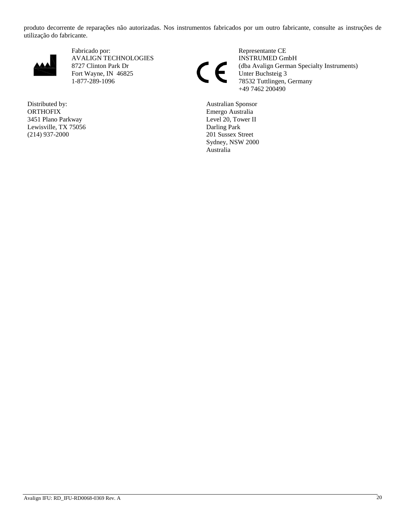produto decorrente de reparações não autorizadas. Nos instrumentos fabricados por um outro fabricante, consulte as instruções de utilização do fabricante.



Fabricado por: Representante CE AVALIGN TECHNOLOGIES<br>
8727 Clinton Park Dr<br>
Fort Wayne, IN 46825<br>
There Buchsteig 3 Fort Wayne, IN 46825<br>1-877-289-1096 Unter Buchsteig 3<br>78532 Tuttlingen,

Distributed by: **ORTHOFIX** 3451 Plano Parkway Lewisville, TX 75056 (214) 937-2000

8727 Clinton Park Dr (dba Avalign German Specialty Instruments) 78532 Tuttlingen, Germany +49 7462 200490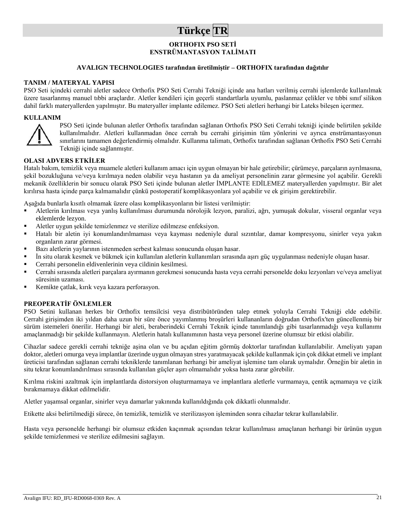# **Türkçe TR**

# **ORTHOFIX PSO SETİ ENSTRÜMANTASYON TALİMATI**

### **AVALIGN TECHNOLOGIES tarafından üretilmiştir – ORTHOFIX tarafından dağıtılır**

#### **TANIM / MATERYAL YAPISI**

PSO Seti içindeki cerrahi aletler sadece Orthofix PSO Seti Cerrahi Tekniği içinde ana hatları verilmiş cerrahi işlemlerde kullanılmak üzere tasarlanmış manuel tıbbi araçlardır. Aletler kendileri için geçerli standartlarla uyumlu, paslanmaz çelikler ve tıbbi sınıf silikon dahil farklı materyallerden yapılmıştır. Bu materyaller implante edilemez. PSO Seti aletleri herhangi bir Lateks bileşen içermez.

#### **KULLANIM**



PSO Seti içinde bulunan aletler Orthofix tarafından sağlanan Orthofix PSO Seti Cerrahi tekniği içinde belirtilen şekilde kullanılmalıdır. Aletleri kullanmadan önce cerrah bu cerrahi girişimin tüm yönlerini ve ayrıca enstrümantasyonun sınırlarını tamamen değerlendirmiş olmalıdır. Kullanma talimatı, Orthofix tarafından sağlanan Orthofix PSO Seti Cerrahi Tekniği içinde sağlanmıştır.

#### **OLASI ADVERS ETKİLER**

Hatalı bakım, temizlik veya muamele aletleri kullanım amacı için uygun olmayan bir hale getirebilir; çürümeye, parçaların ayrılmasına, şekil bozukluğuna ve/veya kırılmaya neden olabilir veya hastanın ya da ameliyat personelinin zarar görmesine yol açabilir. Gerekli mekanik özelliklerin bir sonucu olarak PSO Seti içinde bulunan aletler İMPLANTE EDİLEMEZ materyallerden yapılmıştır. Bir alet kırılırsa hasta içinde parça kalmamalıdır çünkü postoperatif komplikasyonlara yol açabilir ve ek girişim gerektirebilir.

Aşağıda bunlarla kısıtlı olmamak üzere olası komplikasyonların bir listesi verilmiştir:

- Aletlerin kırılması veya yanlış kullanılması durumunda nörolojik lezyon, paralizi, ağrı, yumuşak dokular, visseral organlar veya eklemlerde lezyon.
- Aletler uygun şekilde temizlenmez ve sterilize edilmezse enfeksiyon.
- Hatalı bir aletin iyi konumlandırılmaması veya kayması nedeniyle dural sızıntılar, damar kompresyonu, sinirler veya yakın organların zarar görmesi.
- Bazı aletlerin yaylarının istenmeden serbest kalması sonucunda oluşan hasar.
- İn situ olarak kesmek ve bükmek için kullanılan aletlerin kullanımları sırasında aşırı güç uygulanması nedeniyle oluşan hasar.
- Cerrahi personelin eldivenlerinin veya cildinin kesilmesi.
- Cerrahi sırasında aletleri parçalara ayırmanın gerekmesi sonucunda hasta veya cerrahi personelde doku lezyonları ve/veya ameliyat süresinin uzaması.
- Kemikte çatlak, kırık veya kazara perforasyon.

#### **PREOPERATİF ÖNLEMLER**

PSO Setini kullanan herkes bir Orthofix temsilcisi veya distribütöründen talep etmek yoluyla Cerrahi Tekniği elde edebilir. Cerrahi girişimden iki yıldan daha uzun bir süre önce yayımlanmış broşürleri kullananların doğrudan Orthofix'ten güncellenmiş bir sürüm istemeleri önerilir. Herhangi bir aleti, beraberindeki Cerrahi Teknik içinde tanımlandığı gibi tasarlanmadığı veya kullanımı amaçlanmadığı bir şekilde kullanmayın. Aletlerin hatalı kullanımının hasta veya personel üzerine olumsuz bir etkisi olabilir.

Cihazlar sadece gerekli cerrahi tekniğe aşina olan ve bu açıdan eğitim görmüş doktorlar tarafından kullanılabilir. Ameliyatı yapan doktor, aletleri omurga veya implantlar üzerinde uygun olmayan stres yaratmayacak şekilde kullanmak için çok dikkat etmeli ve implant üreticisi tarafından sağlanan cerrahi tekniklerde tanımlanan herhangi bir ameliyat işlemine tam olarak uymalıdır. Örneğin bir aletin in situ tekrar konumlandırılması sırasında kullanılan güçler aşırı olmamalıdır yoksa hasta zarar görebilir.

Kırılma riskini azaltmak için implantlarda distorsiyon oluşturmamaya ve implantlara aletlerle vurmamaya, çentik açmamaya ve çizik bırakmamaya dikkat edilmelidir.

Aletler yaşamsal organlar, sinirler veya damarlar yakınında kullanıldığında çok dikkatli olunmalıdır.

Etikette aksi belirtilmediği sürece, ön temizlik, temizlik ve sterilizasyon işleminden sonra cihazlar tekrar kullanılabilir.

Hasta veya personelde herhangi bir olumsuz etkiden kaçınmak açısından tekrar kullanılması amaçlanan herhangi bir ürünün uygun şekilde temizlenmesi ve sterilize edilmesini sağlayın.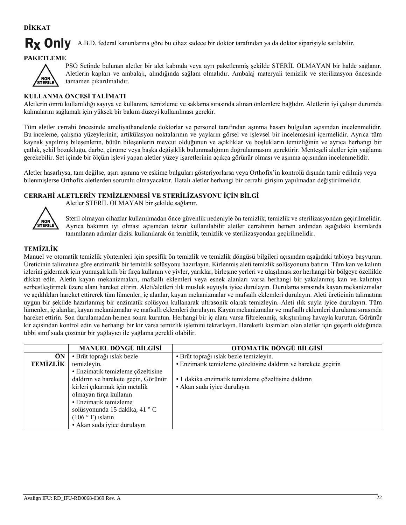**DİKKAT**

#### **Rx Only** A.B.D. federal kanunlarına göre bu cihaz sadece bir doktor tarafından ya da doktor siparişiyle satılabilir.

# **PAKETLEME**



PSO Setinde bulunan aletler bir alet kabında veya ayrı paketlenmiş şekilde STERİL OLMAYAN bir halde sağlanır. Aletlerin kapları ve ambalajı, alındığında sağlam olmalıdır. Ambalaj materyali temizlik ve sterilizasyon öncesinde tamamen çıkarılmalıdır.

# **KULLANMA ÖNCESİ TALİMATI**

Aletlerin ömrü kullanıldığı sayıya ve kullanım, temizleme ve saklama sırasında alınan önlemlere bağlıdır. Aletlerin iyi çalışır durumda kalmalarını sağlamak için yüksek bir bakım düzeyi kullanılması gerekir.

Tüm aletler cerrahi öncesinde ameliyathanelerde doktorlar ve personel tarafından aşınma hasarı bulguları açısından incelenmelidir. Bu inceleme, çalışma yüzeylerinin, artikülasyon noktalarının ve yayların görsel ve işlevsel bir incelemesini içermelidir. Ayrıca tüm kaynak yapılmış bileşenlerin, bütün bileşenlerin mevcut olduğunun ve açıklıklar ve boşlukların temizliğinin ve ayrıca herhangi bir çatlak, şekil bozukluğu, darbe, çürüme veya başka değişiklik bulunmadığının doğrulanmasını gerektirir. Menteşeli aletler için yağlama gerekebilir. Set içinde bir ölçüm işlevi yapan aletler yüzey işaretlerinin açıkça görünür olması ve aşınma açısından incelenmelidir.

Aletler hasarlıysa, tam değilse, aşırı aşınma ve eskime bulguları gösteriyorlarsa veya Orthofix'in kontrolü dışında tamir edilmiş veya bilenmişlerse Orthofix aletlerden sorumlu olmayacaktır. Hatalı aletler herhangi bir cerrahi girişim yapılmadan değiştirilmelidir.

# **CERRAHİ ALETLERİN TEMİZLENMESİ VE STERİLİZASYONU İÇİN BİLGİ**

Aletler STERİL OLMAYAN bir şekilde sağlanır.



Steril olmayan cihazlar kullanılmadan önce güvenlik nedeniyle ön temizlik, temizlik ve sterilizasyondan geçirilmelidir. Ayrıca bakımın iyi olması açısından tekrar kullanılabilir aletler cerrahinin hemen ardından aşağıdaki kısımlarda tanımlanan adımlar dizisi kullanılarak ön temizlik, temizlik ve sterilizasyondan geçirilmelidir.

### **TEMİZLİK**

Manuel ve otomatik temizlik yöntemleri için spesifik ön temizlik ve temizlik döngüsü bilgileri açısından aşağıdaki tabloya başvurun. Üreticinin talimatına göre enzimatik bir temizlik solüsyonu hazırlayın. Kirlenmiş aleti temizlik solüsyonuna batırın. Tüm kan ve kalıntı izlerini gidermek için yumuşak kıllı bir fırça kullanın ve yivler, yarıklar, birleşme yerleri ve ulaşılması zor herhangi bir bölgeye özellikle dikkat edin. Aletin kayan mekanizmaları, mafsallı eklemleri veya esnek alanları varsa herhangi bir yakalanmış kan ve kalıntıyı serbestleştirmek üzere alanı hareket ettirin. Aleti/aletleri ılık musluk suyuyla iyice durulayın. Durulama sırasında kayan mekanizmalar ve açıklıkları hareket ettirerek tüm lümenler, iç alanlar, kayan mekanizmalar ve mafsallı eklemleri durulayın. Aleti üreticinin talimatına uygun bir şekilde hazırlanmış bir enzimatik solüsyon kullanarak ultrasonik olarak temizleyin. Aleti ılık suyla iyice durulayın. Tüm lümenler, iç alanlar, kayan mekanizmalar ve mafsallı eklemleri durulayın. Kayan mekanizmalar ve mafsallı eklemleri durulama sırasında hareket ettirin. Son durulamadan hemen sonra kurutun. Herhangi bir iç alanı varsa filtrelenmiş, sıkıştırılmış havayla kurutun. Görünür kir açısından kontrol edin ve herhangi bir kir varsa temizlik işlemini tekrarlayın. Hareketli kısımları olan aletler için geçerli olduğunda tıbbi sınıf suda çözünür bir yağlayıcı ile yağlama gerekli olabilir.

|                 | <b>MANUEL DÖNGÜ BİLGİSİ</b>         | OTOMATİK DÖNGÜ BİLGİSİ                                         |
|-----------------|-------------------------------------|----------------------------------------------------------------|
| ÖN              | • Brüt toprağı ıslak bezle          | · Brüt toprağı ıslak bezle temizleyin.                         |
| <b>TEMİZLİK</b> | temizleyin.                         | • Enzimatik temizleme çözeltisine daldırın ve harekete geçirin |
|                 | • Enzimatik temizleme çözeltisine   |                                                                |
|                 | daldırın ve harekete geçin, Görünür | · 1 dakika enzimatik temizleme çözeltisine daldırın            |
|                 | kirleri çıkarmak için metalik       | • Akan suda iyice durulayın                                    |
|                 | olmayan fırça kullanın              |                                                                |
|                 | • Enzimatik temizleme               |                                                                |
|                 | solüsyonunda 15 dakika, 41 °C       |                                                                |
|                 | $(106 \circ F)$ islatin             |                                                                |
|                 | • Akan suda iyice durulayın         |                                                                |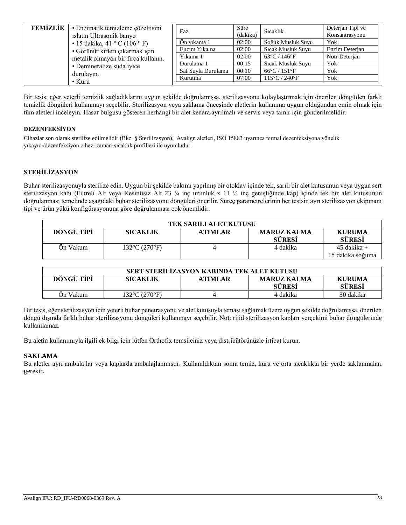| <b>TEMIZLIK</b> | • Enzimatik temizleme çözeltisini<br>islatin Ultrasonik banyo | Faz                | Süre<br>(dakika) | Sicaklik                           | Deterjan Tipi ve<br>Konsantrasyonu |
|-----------------|---------------------------------------------------------------|--------------------|------------------|------------------------------------|------------------------------------|
|                 | • 15 dakika, 41 ° C (106 ° F)                                 | Ön vikama 1        | 02:00            | Soğuk Musluk Suyu                  | Yok                                |
|                 | · Görünür kirleri çıkarmak için                               | Enzim Yıkama       | 02:00            | Sicak Musluk Suyu                  | Enzim Deterian                     |
|                 | metalik olmayan bir fırça kullanın.                           | Yıkama 1           | 02:00            | $63^{\circ}$ C / 146 $^{\circ}$ F  | Nötr Deterian                      |
|                 | • Demineralize suda iyice                                     | Durulama 1         | 00:15            | Sicak Musluk Suyu                  | Yok                                |
|                 | durulayın.                                                    | Saf Suyla Durulama | 00:10            | $66^{\circ}$ C / 151 $^{\circ}$ F  | Yok                                |
|                 | $\cdot$ Kuru                                                  | Kurutma            | 07:00            | $115^{\circ}$ C / 240 $^{\circ}$ F | Yok                                |

Bir tesis, eğer yeterli temizlik sağladıklarını uygun şekilde doğrulamışsa, sterilizasyonu kolaylaştırmak için önerilen döngüden farklı temizlik döngüleri kullanmayı seçebilir. Sterilizasyon veya saklama öncesinde aletlerin kullanıma uygun olduğundan emin olmak için tüm aletleri inceleyin. Hasar bulgusu gösteren herhangi bir alet kenara ayrılmalı ve servis veya tamir için gönderilmelidir.

#### **DEZENFEKSİYON**

Cihazlar son olarak sterilize edilmelidir (Bkz. § Sterilizasyon). Avalign aletleri, ISO 15883 uyarınca termal dezenfeksiyona yönelik yıkayıcı/dezenfeksiyon cihazı zaman-sıcaklık profilleri ile uyumludur.

### **STERİLİZASYON**

Buhar sterilizasyonuyla sterilize edin. Uygun bir şekilde bakımı yapılmış bir otoklav içinde tek, sarılı bir alet kutusunun veya uygun sert sterilizasyon kabı (Filtreli Alt veya Kesintisiz Alt 23 ¼ inç uzunluk x 11 ¼ inç genişliğinde kap) içinde tek bir alet kutusunun doğrulanması temelinde aşağıdaki buhar sterilizasyonu döngüleri önerilir. Süreç parametrelerinin her tesisin ayrı sterilizasyon ekipmanı tipi ve ürün yükü konfigürasyonuna göre doğrulanması çok önemlidir.

| <b>TEK SARILI ALET KUTUSU</b> |                                    |  |          |                                   |  |
|-------------------------------|------------------------------------|--|----------|-----------------------------------|--|
| DÖNGÜ TİPİ                    | <b>KURUMA</b><br><b>SÜRESİ</b>     |  |          |                                   |  |
| Ön Vakum                      | $132^{\circ}$ C (270 $^{\circ}$ F) |  | 4 dakika | $45$ dakika +<br>15 dakika soğuma |  |

| SERT STERILIZASYON KABINDA TEK ALET KUTUSU                                                                               |  |  |  |  |  |
|--------------------------------------------------------------------------------------------------------------------------|--|--|--|--|--|
| DÖNGÜ TİPİ<br><b>SICAKLIK</b><br><b>ATIMLAR</b><br><b>MARUZ KALMA</b><br><b>KURUMA</b><br><b>SÜRESİ</b><br><b>SÜRESİ</b> |  |  |  |  |  |
| 30 dakika<br>132°C (270°F)<br>On Vakum<br>4 dakika                                                                       |  |  |  |  |  |

Bir tesis, eğer sterilizasyon için yeterli buhar penetrasyonu ve alet kutusuyla teması sağlamak üzere uygun şekilde doğrulamışsa, önerilen döngü dışında farklı buhar sterilizasyonu döngüleri kullanmayı seçebilir. Not: rijid sterilizasyon kapları yerçekimi buhar döngülerinde kullanılamaz.

Bu aletin kullanımıyla ilgili ek bilgi için lütfen Orthofix temsilciniz veya distribütörünüzle irtibat kurun.

#### **SAKLAMA**

Bu aletler ayrı ambalajlar veya kaplarda ambalajlanmıştır. Kullanıldıktan sonra temiz, kuru ve orta sıcaklıkta bir yerde saklanmaları gerekir.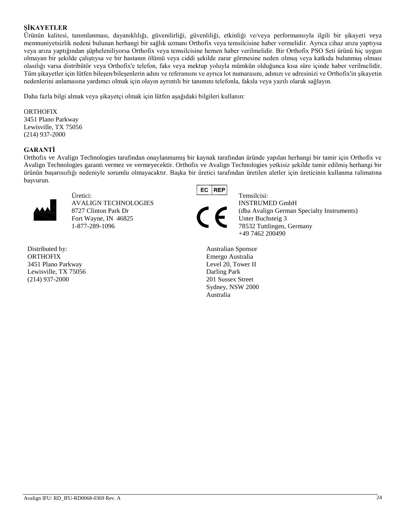# **ŞİKAYETLER**

Ürünün kalitesi, tanımlanması, dayanıklılığı, güvenilirliği, güvenliliği, etkinliği ve/veya performansıyla ilgili bir şikayeti veya memnuniyetsizlik nedeni bulunan herhangi bir sağlık uzmanı Orthofix veya temsilcisine haber vermelidir. Ayrıca cihaz arıza yaptıysa veya arıza yaptığından şüpheleniliyorsa Orthofix veya temsilcisine hemen haber verilmelidir. Bir Orthofix PSO Seti ürünü hiç uygun olmayan bir şekilde çalıştıysa ve bir hastanın ölümü veya ciddi şekilde zarar görmesine neden olmuş veya katkıda bulunmuş olması olasılığı varsa distribütör veya Orthofix'e telefon, faks veya mektup yoluyla mümkün olduğunca kısa süre içinde haber verilmelidir. Tüm şikayetler için lütfen bileşen/bileşenlerin adını ve referansını ve ayrıca lot numarasını, adınızı ve adresinizi ve Orthofix'in şikayetin nedenlerini anlamasına yardımcı olmak için olayın ayrıntılı bir tanımını telefonla, faksla veya yazılı olarak sağlayın.

Daha fazla bilgi almak veya şikayetçi olmak için lütfen aşağıdaki bilgileri kullanın:

#### ORTHOFIX

3451 Plano Parkway Lewisville, TX 75056 (214) 937-2000

### **GARANTİ**

Orthofix ve Avalign Technologies tarafından onaylanmamış bir kaynak tarafından üründe yapılan herhangi bir tamir için Orthofix ve Avalign Technologies garanti vermez ve vermeyecektir. Orthofix ve Avalign Technologies yetkisiz şekilde tamir edilmiş herhangi bir ürünün başarısızlığı nedeniyle sorumlu olmayacaktır. Başka bir üretici tarafından üretilen aletler için üreticinin kullanma talimatına başvurun.



Üretici: AB Temsilcisi: AVALIGN TECHNOLOGIES **INSTRUMED GmbH** Fort Wayne, IN 46825 Unter Buchsteig 3 1-877-289-1096 78532 Tuttlingen, Germany

Distributed by: **ORTHOFIX** 3451 Plano Parkway Lewisville, TX 75056 (214) 937-2000





8727 Clinton Park Dr (dba Avalign German Specialty Instruments) +49 7462 200490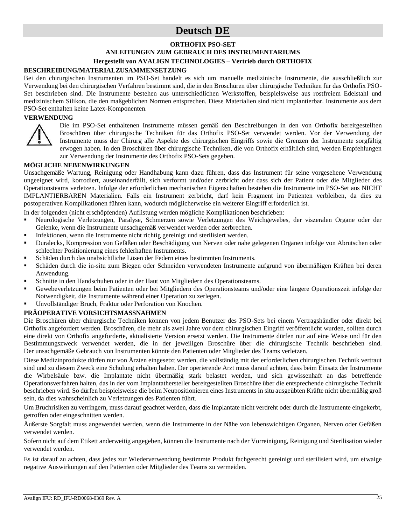# **Deutsch DE**

#### **ORTHOFIX PSO-SET**

#### **ANLEITUNGEN ZUM GEBRAUCH DES INSTRUMENTARIUMS**

#### **Hergestellt von AVALIGN TECHNOLOGIES – Vertrieb durch ORTHOFIX**

#### **BESCHREIBUNG/MATERIALZUSAMMENSETZUNG**

Bei den chirurgischen Instrumenten im PSO-Set handelt es sich um manuelle medizinische Instrumente, die ausschließlich zur Verwendung bei den chirurgischen Verfahren bestimmt sind, die in den Broschüren über chirurgische Techniken für das Orthofix PSO-Set beschrieben sind. Die Instrumente bestehen aus unterschiedlichen Werkstoffen, beispielsweise aus rostfreiem Edelstahl und medizinischem Silikon, die den maßgeblichen Normen entsprechen. Diese Materialien sind nicht implantierbar. Instrumente aus dem PSO-Set enthalten keine Latex-Komponenten.

#### **VERWENDUNG**



Die im PSO-Set enthaltenen Instrumente müssen gemäß den Beschreibungen in den von Orthofix bereitgestellten Broschüren über chirurgische Techniken für das Orthofix PSO-Set verwendet werden. Vor der Verwendung der Instrumente muss der Chirurg alle Aspekte des chirurgischen Eingriffs sowie die Grenzen der Instrumente sorgfältig erwogen haben. In den Broschüren über chirurgische Techniken, die von Orthofix erhältlich sind, werden Empfehlungen zur Verwendung der Instrumente des Orthofix PSO-Sets gegeben.

#### **MÖGLICHE NEBENWIRKUNGEN**

Unsachgemäße Wartung, Reinigung oder Handhabung kann dazu führen, dass das Instrument für seine vorgesehene Verwendung ungeeignet wird, korrodiert, auseinanderfällt, sich verformt und/oder zerbricht oder dass sich der Patient oder die Mitglieder des Operationsteams verletzen. Infolge der erforderlichen mechanischen Eigenschaften bestehen die Instrumente im PSO-Set aus NICHT IMPLANTIERBAREN Materialien. Falls ein Instrument zerbricht, darf kein Fragment im Patienten verbleiben, da dies zu postoperativen Komplikationen führen kann, wodurch möglicherweise ein weiterer Eingriff erforderlich ist.

In der folgenden (nicht erschöpfenden) Auflistung werden mögliche Komplikationen beschrieben:

- Neurologische Verletzungen, Paralyse, Schmerzen sowie Verletzungen des Weichgewebes, der viszeralen Organe oder der Gelenke, wenn die Instrumente unsachgemäß verwendet werden oder zerbrechen.
- Infektionen, wenn die Instrumente nicht richtig gereinigt und sterilisiert werden.
- Duralecks, Kompression von Gefäßen oder Beschädigung von Nerven oder nahe gelegenen Organen infolge von Abrutschen oder schlechter Positionierung eines fehlerhaften Instruments.
- Schäden durch das unabsichtliche Lösen der Federn eines bestimmten Instruments.
- Schäden durch die in-situ zum Biegen oder Schneiden verwendeten Instrumente aufgrund von übermäßigen Kräften bei deren Anwendung.
- Schnitte in den Handschuhen oder in der Haut von Mitgliedern des Operationsteams.
- Gewebeverletzungen beim Patienten oder bei Mitgliedern des Operationsteams und/oder eine längere Operationszeit infolge der Notwendigkeit, die Instrumente während einer Operation zu zerlegen.
- Unvollständiger Bruch, Fraktur oder Perforation von Knochen.

#### **PRÄOPERATIVE VORSICHTSMASSNAHMEN**

Die Broschüren über chirurgische Techniken können von jedem Benutzer des PSO-Sets bei einem Vertragshändler oder direkt bei Orthofix angefordert werden. Broschüren, die mehr als zwei Jahre vor dem chirurgischen Eingriff veröffentlicht wurden, sollten durch eine direkt von Orthofix angeforderte, aktualisierte Version ersetzt werden. Die Instrumente dürfen nur auf eine Weise und für den Bestimmungszweck verwendet werden, die in der jeweiligen Broschüre über die chirurgische Technik beschrieben sind. Der unsachgemäße Gebrauch von Instrumenten könnte den Patienten oder Mitglieder des Teams verletzen.

Diese Medizinprodukte dürfen nur von Ärzten eingesetzt werden, die vollständig mit der erforderlichen chirurgischen Technik vertraut sind und zu diesem Zweck eine Schulung erhalten haben. Der operierende Arzt muss darauf achten, dass beim Einsatz der Instrumente die Wirbelsäule bzw. die Implantate nicht übermäßig stark belastet werden, und sich gewissenhaft an das betreffende Operationsverfahren halten, das in der vom Implantathersteller bereitgestellten Broschüre über die entsprechende chirurgische Technik beschrieben wird. So dürfen beispielsweise die beim Neupositionieren eines Instruments in situ ausgeübten Kräfte nicht übermäßig groß sein, da dies wahrscheinlich zu Verletzungen des Patienten führt.

Um Bruchrisiken zu verringern, muss darauf geachtet werden, dass die Implantate nicht verdreht oder durch die Instrumente eingekerbt, getroffen oder eingeschnitten werden.

Äußerste Sorgfalt muss angewendet werden, wenn die Instrumente in der Nähe von lebenswichtigen Organen, Nerven oder Gefäßen verwendet werden.

Sofern nicht auf dem Etikett anderweitig angegeben, können die Instrumente nach der Vorreinigung, Reinigung und Sterilisation wieder verwendet werden.

Es ist darauf zu achten, dass jedes zur Wiederverwendung bestimmte Produkt fachgerecht gereinigt und sterilisiert wird, um etwaige negative Auswirkungen auf den Patienten oder Mitglieder des Teams zu vermeiden.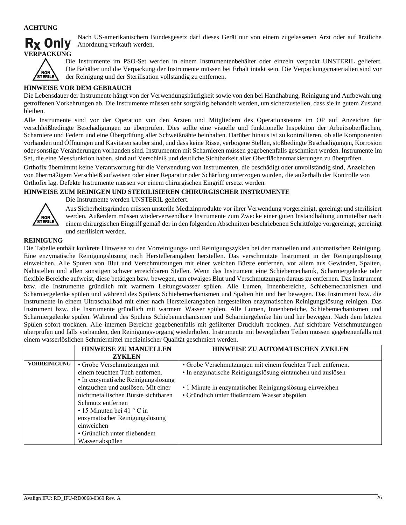

Nach US-amerikanischem Bundesgesetz darf dieses Gerät nur von einem zugelassenen Arzt oder auf ärztliche Anordnung verkauft werden.



Die Instrumente im PSO-Set werden in einem Instrumentenbehälter oder einzeln verpackt UNSTERIL geliefert. Die Behälter und die Verpackung der Instrumente müssen bei Erhalt intakt sein. Die Verpackungsmaterialien sind vor der Reinigung und der Sterilisation vollständig zu entfernen.

#### **HINWEISE VOR DEM GEBRAUCH**

Die Lebensdauer der Instrumente hängt von der Verwendungshäufigkeit sowie von den bei Handhabung, Reinigung und Aufbewahrung getroffenen Vorkehrungen ab. Die Instrumente müssen sehr sorgfältig behandelt werden, um sicherzustellen, dass sie in gutem Zustand bleiben.

Alle Instrumente sind vor der Operation von den Ärzten und Mitgliedern des Operationsteams im OP auf Anzeichen für verschleißbedingte Beschädigungen zu überprüfen. Dies sollte eine visuelle und funktionelle Inspektion der Arbeitsoberflächen, Scharniere und Federn und eine Überprüfung aller Schweißnähte beinhalten. Darüber hinaus ist zu kontrollieren, ob alle Komponenten vorhanden und Öffnungen und Kavitäten sauber sind, und dass keine Risse, verbogene Stellen, stoßbedingte Beschädigungen, Korrosion oder sonstige Veränderungen vorhanden sind. Instrumenten mit Scharnieren müssen gegebenenfalls geschmiert werden. Instrumente im Set, die eine Messfunktion haben, sind auf Verschleiß und deutliche Sichtbarkeit aller Oberflächenmarkierungen zu überprüfen.

Orthofix übernimmt keine Verantwortung für die Verwendung von Instrumenten, die beschädigt oder unvollständig sind, Anzeichen von übermäßigem Verschleiß aufweisen oder einer Reparatur oder Schärfung unterzogen wurden, die außerhalb der Kontrolle von Orthofix lag. Defekte Instrumente müssen vor einem chirurgischen Eingriff ersetzt werden.

#### **HINWEISE ZUM REINIGEN UND STERILISIEREN CHIRURGISCHER INSTRUMENTE**



Die Instrumente werden UNSTERIL geliefert.

Aus Sicherheitsgründen müssen unsterile Medizinprodukte vor ihrer Verwendung vorgereinigt, gereinigt und sterilisiert werden. Außerdem müssen wiederverwendbare Instrumente zum Zwecke einer guten Instandhaltung unmittelbar nach einem chirurgischen Eingriff gemäß der in den folgenden Abschnitten beschriebenen Schrittfolge vorgereinigt, gereinigt und sterilisiert werden.

#### **REINIGUNG**

Die Tabelle enthält konkrete Hinweise zu den Vorreinigungs- und Reinigungszyklen bei der manuellen und automatischen Reinigung. Eine enzymatische Reinigungslösung nach Herstellerangaben herstellen. Das verschmutzte Instrument in der Reinigungslösung einweichen. Alle Spuren von Blut und Verschmutzungen mit einer weichen Bürste entfernen, vor allem aus Gewinden, Spalten, Nahtstellen und allen sonstigen schwer erreichbaren Stellen. Wenn das Instrument eine Schiebemechanik, Scharniergelenke oder flexible Bereiche aufweist, diese betätigen bzw. bewegen, um etwaiges Blut und Verschmutzungen daraus zu entfernen. Das Instrument bzw. die Instrumente gründlich mit warmem Leitungswasser spülen. Alle Lumen, Innenbereiche, Schiebemechanismen und Scharniergelenke spülen und während des Spülens Schiebemechanismen und Spalten hin und her bewegen. Das Instrument bzw. die Instrumente in einem Ultraschallbad mit einer nach Herstellerangaben hergestellten enzymatischen Reinigungslösung reinigen. Das Instrument bzw. die Instrumente gründlich mit warmem Wasser spülen. Alle Lumen, Innenbereiche, Schiebemechanismen und Scharniergelenke spülen. Während des Spülens Schiebemechanismen und Scharniergelenke hin und her bewegen. Nach dem letzten Spülen sofort trocknen. Alle internen Bereiche gegebenenfalls mit gefilterter Druckluft trocknen. Auf sichtbare Verschmutzungen überprüfen und falls vorhanden, den Reinigungsvorgang wiederholen. Instrumente mit beweglichen Teilen müssen gegebenenfalls mit einem wasserlöslichen Schmiermittel medizinischer Qualität geschmiert werden.

|                     | <b>HINWEISE ZU MANUELLEN</b>        | <b>HINWEISE ZU AUTOMATISCHEN ZYKLEN</b>                    |
|---------------------|-------------------------------------|------------------------------------------------------------|
|                     | <b>ZYKLEN</b>                       |                                                            |
| <b>VORREINIGUNG</b> | • Grobe Verschmutzungen mit         | • Grobe Verschmutzungen mit einem feuchten Tuch entfernen. |
|                     | einem feuchten Tuch entfernen.      | • In enzymatische Reinigungslösung eintauchen und auslösen |
|                     | • In enzymatische Reinigungslösung  |                                                            |
|                     | eintauchen und auslösen. Mit einer  | • 1 Minute in enzymatischer Reinigungslösung einweichen    |
|                     | nichtmetallischen Bürste sichtbaren | • Gründlich unter fließendem Wasser abspülen               |
|                     | Schmutz entfernen                   |                                                            |
|                     | $\cdot$ 15 Minuten bei 41 ° C in    |                                                            |
|                     | enzymatischer Reinigungslösung      |                                                            |
|                     | einweichen                          |                                                            |
|                     | • Gründlich unter fließendem        |                                                            |
|                     | Wasser abspülen                     |                                                            |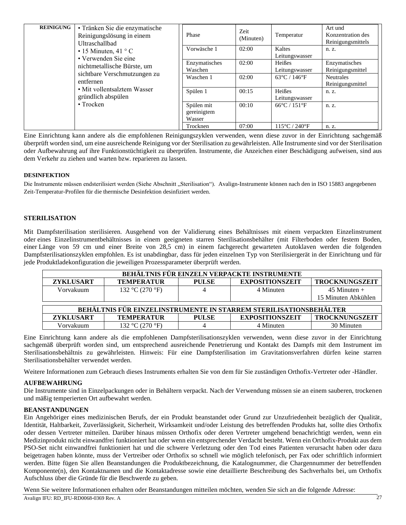| <b>REINIGUNG</b>   | • Tränken Sie die enzymatische<br>Reinigungslösung in einem<br>Ultraschallbad | Phase                               | Zeit<br>(Minuten) | Temperatur                         | Art und<br>Konzentration des<br>Reinigungsmittels |                                      |       |
|--------------------|-------------------------------------------------------------------------------|-------------------------------------|-------------------|------------------------------------|---------------------------------------------------|--------------------------------------|-------|
|                    | • 15 Minuten, 41 ° C                                                          | • Verwenden Sie eine                |                   | Vorwäsche 1                        | 02:00                                             | Kaltes<br>Leitungswasser             | n. z. |
|                    | nichtmetallische Bürste, um                                                   | Enzymatisches<br>Waschen            | 02:00             | Heißes<br>Leitungswasser           | Enzymatisches<br>Reinigungsmittel                 |                                      |       |
|                    | sichtbare Verschmutzungen zu<br>entfernen                                     |                                     | Waschen 1         | 02:00                              | $63^{\circ}$ C / 146 $^{\circ}$ F                 | <b>Neutrales</b><br>Reinigungsmittel |       |
| gründlich abspülen | • Mit vollentsalztem Wasser                                                   | Spülen 1                            | 00:15             | Heißes<br>Leitungswasser           | n. z.                                             |                                      |       |
|                    | $\cdot$ Trocken                                                               | Spülen mit<br>gereinigtem<br>Wasser | 00:10             | $66^{\circ}$ C / 151 $^{\circ}$ F  | n. z.                                             |                                      |       |
|                    |                                                                               | Trocknen                            | 07:00             | $115^{\circ}$ C / 240 $^{\circ}$ F | n. z.                                             |                                      |       |

Eine Einrichtung kann andere als die empfohlenen Reinigungszyklen verwenden, wenn diese zuvor in der Einrichtung sachgemäß überprüft worden sind, um eine ausreichende Reinigung vor der Sterilisation zu gewährleisten. Alle Instrumente sind vor der Sterilisation oder Aufbewahrung auf ihre Funktionstüchtigkeit zu überprüfen. Instrumente, die Anzeichen einer Beschädigung aufweisen, sind aus dem Verkehr zu ziehen und warten bzw. reparieren zu lassen.

#### **DESINFEKTION**

Die Instrumente müssen endsterilisiert werden (Siehe Abschnitt "Sterilisation"). Avalign-Instrumente können nach den in ISO 15883 angegebenen Zeit-Temperatur-Profilen für die thermische Desinfektion desinfiziert werden.

#### **STERILISATION**

Mit Dampfsterilisation sterilisieren. Ausgehend von der Validierung eines Behältnisses mit einem verpackten Einzelinstrument oder eines Einzelinstrumentbehältnisses in einem geeigneten starren Sterilisationsbehälter (mit Filterboden oder festem Boden, einer Länge von 59 cm und einer Breite von 28,5 cm) in einem fachgerecht gewarteten Autoklaven werden die folgenden Dampfsterilisationszyklen empfohlen. Es ist unabdingbar, dass für jeden einzelnen Typ von Sterilisiergerät in der Einrichtung und für jede Produktladekonfiguration die jeweiligen Prozessparameter überprüft werden.

| BEHÄLTNIS FÜR EINZELN VERPACKTE INSTRUMENTE                       |                   |              |                        |                       |  |
|-------------------------------------------------------------------|-------------------|--------------|------------------------|-----------------------|--|
| <b>ZYKLUSART</b>                                                  | <b>TEMPERATUR</b> | <b>PULSE</b> | <b>EXPOSITIONSZEIT</b> | <b>TROCKNUNGSZEIT</b> |  |
| Vorvakuum                                                         | 132 °C (270 °F)   |              | 4 Minuten              | $45$ Minuten +        |  |
|                                                                   |                   |              |                        | 15 Minuten Abkühlen   |  |
|                                                                   |                   |              |                        |                       |  |
| BEHÄLTNIS FÜR EINZELINSTRUMENTE IN STARREM STERILISATIONSBEHÄLTER |                   |              |                        |                       |  |
| <b>ZYKLUSART</b>                                                  | <b>TEMPERATUR</b> | <b>PULSE</b> | <b>EXPOSITIONSZEIT</b> | TROCKNUNGSZEIT        |  |
| Vorvakuum                                                         | 132 °C (270 °F)   |              | 4 Minuten              | 30 Minuten            |  |

Eine Einrichtung kann andere als die empfohlenen Dampfsterilisationszyklen verwenden, wenn diese zuvor in der Einrichtung sachgemäß überprüft worden sind, um entsprechend ausreichende Penetrierung und Kontakt des Dampfs mit dem Instrument im Sterilisationsbehältnis zu gewährleisten. Hinweis: Für eine Dampfsterilisation im Gravitationsverfahren dürfen keine starren Sterilisationsbehälter verwendet werden.

Weitere Informationen zum Gebrauch dieses Instruments erhalten Sie von dem für Sie zuständigen Orthofix-Vertreter oder -Händler.

#### **AUFBEWAHRUNG**

Die Instrumente sind in Einzelpackungen oder in Behältern verpackt. Nach der Verwendung müssen sie an einem sauberen, trockenen und mäßig temperierten Ort aufbewahrt werden.

#### **BEANSTANDUNGEN**

Ein Angehöriger eines medizinischen Berufs, der ein Produkt beanstandet oder Grund zur Unzufriedenheit bezüglich der Qualität, Identität, Haltbarkeit, Zuverlässigkeit, Sicherheit, Wirksamkeit und/oder Leistung des betreffenden Produkts hat, sollte dies Orthofix oder dessen Vertreter mitteilen. Darüber hinaus müssen Orthofix oder deren Vertreter umgehend benachrichtigt werden, wenn ein Medizinprodukt nicht einwandfrei funktioniert hat oder wenn ein entsprechender Verdacht besteht. Wenn ein Orthofix-Produkt aus dem PSO-Set nicht einwandfrei funktioniert hat und die schwere Verletzung oder den Tod eines Patienten verursacht haben oder dazu beigetragen haben könnte, muss der Vertreiber oder Orthofix so schnell wie möglich telefonisch, per Fax oder schriftlich informiert werden. Bitte fügen Sie allen Beanstandungen die Produktbezeichnung, die Katalognummer, die Chargennummer der betreffenden Komponente(n), den Kontaktnamen und die Kontaktadresse sowie eine detaillierte Beschreibung des Sachverhalts bei, um Orthofix Aufschluss über die Gründe für die Beschwerde zu geben.

Wenn Sie weitere Informationen erhalten oder Beanstandungen mitteilen möchten, wenden Sie sich an die folgende Adresse: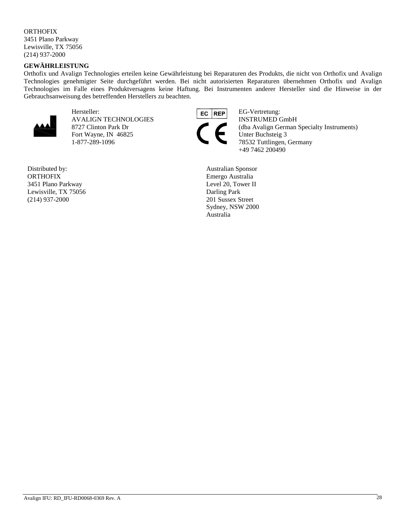# **ORTHOFIX**

3451 Plano Parkway Lewisville, TX 75056 (214) 937-2000

# **GEWÄHRLEISTUNG**

Orthofix und Avalign Technologies erteilen keine Gewährleistung bei Reparaturen des Produkts, die nicht von Orthofix und Avalign Technologies genehmigter Seite durchgeführt werden. Bei nicht autorisierten Reparaturen übernehmen Orthofix und Avalign Technologies im Falle eines Produktversagens keine Haftung. Bei Instrumenten anderer Hersteller sind die Hinweise in der Gebrauchsanweisung des betreffenden Herstellers zu beachten.



Hersteller: EG-Vertretung: EG-Vertretung: AVALIGN TECHNOLOGIES INSTRUMED GmbH Fort Wayne, IN 46825 Unter Buchsteig 3

Distributed by: **ORTHOFIX** 3451 Plano Parkway Lewisville, TX 75056 (214) 937-2000



8727 Clinton Park Dr (dba Avalign German Specialty Instruments)<br>Fort Wayne, IN 46825 Unter Buchsteig 3 1-877-289-1096 78532 Tuttlingen, Germany +49 7462 200490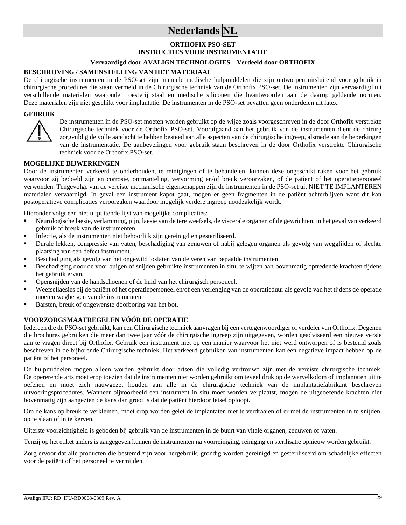# **Nederlands NL**

# **ORTHOFIX PSO-SET INSTRUCTIES VOOR INSTRUMENTATIE**

# **Vervaardigd door AVALIGN TECHNOLOGIES – Verdeeld door ORTHOFIX**

#### **BESCHRIJVING / SAMENSTELLING VAN HET MATERIAAL**

De chirurgische instrumenten in de PSO-set zijn manuele medische hulpmiddelen die zijn ontworpen uitsluitend voor gebruik in chirurgische procedures die staan vermeld in de Chirurgische techniek van de Orthofix PSO-set. De instrumenten zijn vervaardigd uit verschillende materialen waaronder roestvrij staal en medische siliconen die beantwoorden aan de daarop geldende normen. Deze materialen zijn niet geschikt voor implantatie. De instrumenten in de PSO-set bevatten geen onderdelen uit latex.

#### **GEBRUIK**



De instrumenten in de PSO-set moeten worden gebruikt op de wijze zoals voorgeschreven in de door Orthofix verstrekte Chirurgische techniek voor de Orthofix PSO-set. Voorafgaand aan het gebruik van de instrumenten dient de chirurg zorgvuldig de volle aandacht te hebben besteed aan alle aspecten van de chirurgische ingreep, alsmede aan de beperkingen van de instrumentatie. De aanbevelingen voor gebruik staan beschreven in de door Orthofix verstrekte Chirurgische techniek voor de Orthofix PSO-set.

#### **MOGELIJKE BIJWERKINGEN**

Door de instrumenten verkeerd te onderhouden, te reinigingen of te behandelen, kunnen deze ongeschikt raken voor het gebruik waarvoor zij bedoeld zijn en corrosie, ontmanteling, vervorming en/of breuk veroorzaken, of de patiënt of het operatiepersoneel verwonden. Tengevolge van de vereiste mechanische eigenschappen zijn de instrumenten in de PSO-set uit NIET TE IMPLANTEREN materialen vervaardigd. In geval een instrument kapot gaat, mogen er geen fragmenten in de patiënt achterblijven want dit kan postoperatieve complicaties veroorzaken waardoor mogelijk verdere ingreep noodzakelijk wordt.

Hieronder volgt een niet uitputtende lijst van mogelijke complicaties:

- Neurologische laesie, verlamming, pijn, laesie van de tere weefsels, de viscerale organen of de gewrichten, in het geval van verkeerd gebruik of breuk van de instrumenten.
- Infectie, als de instrumenten niet behoorlijk zijn gereinigd en gesteriliseerd.
- Durale lekken, compressie van vaten, beschadiging van zenuwen of nabij gelegen organen als gevolg van wegglijden of slechte plaatsing van een defect instrument.
- Beschadiging als gevolg van het ongewild loslaten van de veren van bepaalde instrumenten.
- Beschadiging door de voor buigen of snijden gebruikte instrumenten in situ, te wijten aan bovenmatig optredende krachten tijdens het gebruik ervan.
- Opensnijden van de handschoenen of de huid van het chirurgisch personeel.
- Weefsellaesies bij de patiënt of het operatiepersoneel en/of een verlenging van de operatieduur als gevolg van het tijdens de operatie moeten wegbergen van de instrumenten.
- Barsten, breuk of ongewenste doorboring van het bot.

#### **VOORZORGSMAATREGELEN VÓÓR DE OPERATIE**

Iedereen die de PSO-set gebruikt, kan een Chirurgische techniek aanvragen bij een vertegenwoordiger of verdeler van Orthofix. Degenen die brochures gebruiken die meer dan twee jaar vóór de chirurgische ingreep zijn uitgegeven, worden geadviseerd een nieuwe versie aan te vragen direct bij Orthofix. Gebruik een instrument niet op een manier waarvoor het niet werd ontworpen of is bestemd zoals beschreven in de bijhorende Chirurgische techniek. Het verkeerd gebruiken van instrumenten kan een negatieve impact hebben op de patiënt of het personeel.

De hulpmiddelen mogen alleen worden gebruikt door artsen die volledig vertrouwd zijn met de vereiste chirurgische techniek. De opererende arts moet erop toezien dat de instrumenten niet worden gebruikt om teveel druk op de wervelkolom of implantaten uit te oefenen en moet zich nauwgezet houden aan alle in de chirurgische techniek van de implantatiefabrikant beschreven uitvoeringsprocedures. Wanneer bijvoorbeeld een instrument in situ moet worden verplaatst, mogen de uitgeoefende krachten niet bovenmatig zijn aangezien de kans dan groot is dat de patiënt hierdoor letsel oploopt.

Om de kans op breuk te verkleinen, moet erop worden gelet de implantaten niet te verdraaien of er met de instrumenten in te snijden, op te slaan of in te kerven.

Uiterste voorzichtigheid is geboden bij gebruik van de instrumenten in de buurt van vitale organen, zenuwen of vaten.

Tenzij op het etiket anders is aangegeven kunnen de instrumenten na voorreiniging, reiniging en sterilisatie opnieuw worden gebruikt.

Zorg ervoor dat alle producten die bestemd zijn voor hergebruik, grondig worden gereinigd en gesteriliseerd om schadelijke effecten voor de patiënt of het personeel te vermijden.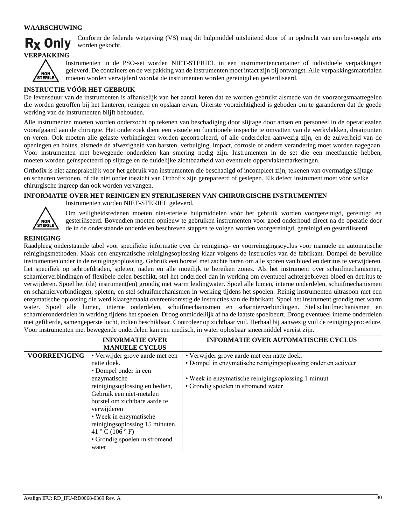#### **WAARSCHUWING**



Conform de federale wetgeving (VS) mag dit hulpmiddel uitsluitend door of in opdracht van een bevoegde arts worden gekocht.



Instrumenten in de PSO-set worden NIET-STERIEL in een instrumentencontainer of individuele verpakkingen geleverd. De containers en de verpakking van de instrumenten moet intact zijn bij ontvangst. Alle verpakkingsmaterialen moeten worden verwijderd voordat de instrumenten worden gereinigd en gesteriliseerd.

#### **INSTRUCTIE VÓÓR HET GEBRUIK**

De levensduur van de instrumenten is afhankelijk van het aantal keren dat ze worden gebruikt alsmede van de voorzorgsmaatregelen die worden getroffen bij het hanteren, reinigen en opslaan ervan. Uiterste voorzichtigheid is geboden om te garanderen dat de goede werking van de instrumenten blijft behouden.

Alle instrumenten moeten worden onderzocht op tekenen van beschadiging door slijtage door artsen en personeel in de operatiezalen voorafgaand aan de chirurgie. Het onderzoek dient een visuele en functionele inspectie te omvatten van de werkvlakken, draaipunten en veren. Ook moeten alle gelaste verbindingen worden gecontroleerd, of alle onderdelen aanwezig zijn, en de zuiverheid van de openingen en holtes, alsmede de afwezigheid van barsten, verbuiging, impact, corrosie of andere verandering moet worden nagegaan. Voor instrumenten met bewegende onderdelen kan smering nodig zijn. Instrumenten in de set die een meetfunctie hebben, moeten worden geïnspecteerd op slijtage en de duidelijke zichtbaarheid van eventuele oppervlaktemarkeringen.

Orthofix is niet aansprakelijk voor het gebruik van instrumenten die beschadigd of incompleet zijn, tekenen van overmatige slijtage en scheuren vertonen, of die niet onder toezicht van Orthofix zijn gerepareerd of geslepen. Elk defect instrument moet vóór welke chirurgische ingreep dan ook worden vervangen.

#### **INFORMATIE OVER HET REINIGEN EN STERILISEREN VAN CHIRURGISCHE INSTRUMENTEN**

Instrumenten worden NIET-STERIEL geleverd.



Om veiligheidsredenen moeten niet-steriele hulpmiddelen vóór het gebruik worden voorgereinigd, gereinigd en gesteriliseerd. Bovendien moeten opnieuw te gebruiken instrumenten voor goed onderhoud direct na de operatie door de in de onderstaande onderdelen beschreven stappen te volgen worden voorgereinigd, gereinigd en gesteriliseerd.

#### **REINIGING**

Raadpleeg onderstaande tabel voor specifieke informatie over de reinigings- en voorreinigingscyclus voor manuele en automatische reinigingsmethoden. Maak een enzymatische reinigingsoplossing klaar volgens de instructies van de fabrikant. Dompel de bevuilde instrumenten onder in de reinigingsoplossing. Gebruik een borstel met zachte haren om alle sporen van bloed en detritus te verwijderen. Let specifiek op schroefdraden, spleten, naden en alle moeilijk te bereiken zones. Als het instrument over schuifmechanismen, scharnierverbindingen of flexibele delen beschikt, stel het onderdeel dan in werking om eventueel achtergebleven bloed en detritus te verwijderen. Spoel het (de) instrument(en) grondig met warm leidingwater. Spoel alle lumen, interne onderdelen, schuifmechanismen en scharnierverbindingen, spleten, en stel schuifmechanismen in werking tijdens het spoelen. Reinig instrumenten ultrasoon met een enzymatische oplossing die werd klaargemaakt overeenkomstig de instructies van de fabrikant. Spoel het instrument grondig met warm water. Spoel alle lumen, interne onderdelen, schuifmechanismen en scharnierverbindingen. Stel schuifmechanismen en scharnieronderdelen in werking tijdens het spoelen. Droog onmiddellijk af na de laatste spoelbeurt. Droog eventueel interne onderdelen met gefilterde, samengeperste lucht, indien beschikbaar. Controleer op zichtbaar vuil. Herhaal bij aanwezig vuil de reinigingsprocedure. Voor instrumenten met bewegende onderdelen kan een medisch, in water oplosbaar smeermiddel vereist zijn.

|                      | <b>INFORMATIE OVER</b><br><b>MANUELE CYCLUS</b> | <b>INFORMATIE OVER AUTOMATISCHE CYCLUS</b>                     |
|----------------------|-------------------------------------------------|----------------------------------------------------------------|
| <b>VOORREINIGING</b> | • Verwijder grove aarde met een                 | • Verwijder grove aarde met een natte doek.                    |
|                      | natte doek.                                     | • Dompel in enzymatische reinigingsoplossing onder en activeer |
|                      | • Dompel onder in een                           |                                                                |
|                      | enzymatische                                    | • Week in enzymatische reinigingsoplossing 1 minuut            |
|                      | reinigingsoplossing en bedien,                  | • Grondig spoelen in stromend water                            |
|                      | Gebruik een niet-metalen                        |                                                                |
|                      | borstel om zichtbare aarde te                   |                                                                |
|                      | verwijderen                                     |                                                                |
|                      | • Week in enzymatische                          |                                                                |
|                      | reinigingsoplossing 15 minuten,                 |                                                                |
|                      | 41 ° C (106 ° F)                                |                                                                |
|                      | • Grondig spoelen in stromend                   |                                                                |
|                      | water                                           |                                                                |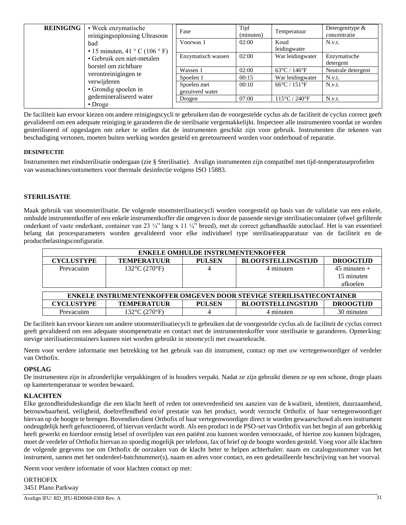| <b>REINIGING</b>                    | • Week enzymatische<br>reinigingsoplossing Ultrasoon<br>bad<br>• 15 minuten, 41 ° C (106 ° F)<br>• Gebruik een niet-metalen<br>borstel om zichtbare | Fase               | Tijd<br>(minuten)                 | Temperatuur                        | Detergentlype $\&$<br>concentratie |
|-------------------------------------|-----------------------------------------------------------------------------------------------------------------------------------------------------|--------------------|-----------------------------------|------------------------------------|------------------------------------|
|                                     |                                                                                                                                                     | Voorwas 1          | 02:00                             | Koud<br>leidingwater               | N.v.t.                             |
|                                     |                                                                                                                                                     | Enzymatisch wassen | 02:00                             | War leidingwater                   | Enzymatische<br>detergent          |
|                                     |                                                                                                                                                     | Wassen 1           | 02:00                             | $63^{\circ}$ C / 146 $^{\circ}$ F  | Neutrale detergent                 |
|                                     | verontreinigingen te                                                                                                                                | Spoelen 1          | 00:15                             | War leidingwater                   | N.v.t.                             |
| verwijderen<br>• Grondig spoelen in | Spoelen met<br>gezuiverd water                                                                                                                      | 00:10              | $66^{\circ}$ C / 151 $^{\circ}$ F | N.v.t.                             |                                    |
|                                     | gedemineraliseerd water<br>$\cdot$ Droge                                                                                                            | Drogen             | 07:00                             | $115^{\circ}$ C / 240 $^{\circ}$ F | N.v.t.                             |

De faciliteit kan ervoor kiezen om andere reinigingscycli te gebruiken dan de voorgestelde cyclus als de faciliteit de cyclus correct geeft gevalideerd om een adequate reiniging te garanderen die de sterilisatie vergemakkelijkt. Inspecteer alle instrumenten voordat ze worden gesteriliseerd of opgeslagen om zeker te stellen dat de instrumenten geschikt zijn voor gebruik. Instrumenten die tekenen van beschadiging vertonen, moeten buiten werking worden gesteld en geretourneerd worden voor onderhoud of reparatie.

### **DESINFECTIE**

Instrumenten met eindsterilisatie ondergaan (zie § Sterilisatie). Avalign instrumenten zijn compatibel met tijd-temperatuurprofielen van wasmachines/ontsmetters voor thermale desinfectie volgens ISO 15883.

# **STERILISATIE**

Maak gebruik van stoomsterilisatie. De volgende stoomsterilisatiecycli worden voorgesteld op basis van de validatie van een enkele, omhulde instrumentkoffer of een enkele instrumentkoffer die omgeven is door de passende stevige sterilisatiecontainer (ofwel gefilterde onderkant of vaste onderkant, container van 23 ¼" lang x 11 ¼" breed), met de correct gehandhaafde autoclaaf. Het is van essentieel belang dat procesparameters worden gevalideerd voor elke individueel type sterilisatieapparatuur van de faciliteit en de productbelastingsconfiguratie.

| <b>ENKELE OMHULDE INSTRUMENTENKOFFER</b>                                    |                                  |               |                           |                  |  |
|-----------------------------------------------------------------------------|----------------------------------|---------------|---------------------------|------------------|--|
| <b>CYCLUSTYPE</b>                                                           | <b>TEMPERATUUR</b>               | <b>PULSEN</b> | <b>BLOOTSTELLINGSTLID</b> | <b>DROOGTLID</b> |  |
| Prevacuüm                                                                   | $132^{\circ}C(270^{\circ}F)$     | 4             | 4 minuten                 | $45$ minuten +   |  |
|                                                                             |                                  |               |                           | 15 minuten       |  |
|                                                                             |                                  |               |                           | afkoelen         |  |
|                                                                             |                                  |               |                           |                  |  |
| <b>ENKELE INSTRUMENTENKOFFER OMGEVEN DOOR STEVIGE STERILISATIECONTAINER</b> |                                  |               |                           |                  |  |
| <b>CYCLUSTYPE</b>                                                           | <b>TEMPERATUUR</b>               | <b>PULSEN</b> | <b>BLOOTSTELLINGSTLID</b> | <b>DROOGTLID</b> |  |
| Prevacuüm                                                                   | $132^{\circ}$ C $(270^{\circ}F)$ |               | 4 minuten                 | 30 minuten       |  |

De faciliteit kan ervoor kiezen om andere stoomsterilisatiecycli te gebruiken dat de voorgestelde cyclus als de faciliteit de cyclus correct geeft gevalideerd om een adequate stoompenetratie en contact met de instrumentenkoffer voor sterilisatie te garanderen. Opmerking: stevige sterilisatiecontainers kunnen niet worden gebruikt in stoomcycli met zwaartekracht.

Neem voor verdere informatie met betrekking tot het gebruik van dit instrument, contact op met uw vertegenwoordiger of verdeler van Orthofix.

### **OPSLAG**

De instrumenten zijn in afzonderlijke verpakkingen of in houders verpakt. Nadat ze zijn gebruikt dienen ze op een schone, droge plaats op kamertemperatuur te worden bewaard.

#### **KLACHTEN**

Elke gezondheidsdeskundige die een klacht heeft of reden tot ontevredenheid ten aanzien van de kwaliteit, identiteit, duurzaamheid, betrouwbaarheid, veiligheid, doeltreffendheid en/of prestatie van het product, wordt verzocht Orthofix of haar vertegenwoordiger hiervan op de hoogte te brengen. Bovendien dient Orthofix of haar vertegenwoordiger direct te worden gewaarschuwd als een instrument ondeugdelijk heeft gefunctioneerd, of hiervan verdacht wordt. Als een product in de PSO-set van Orthofix van het begin af aan gebrekkig heeft gewerkt en hierdoor ernstig letsel of overlijden van een patiënt zou kunnen worden veroorzaakt, of hiertoe zou kunnen bijdragen, moet de verdeler of Orthofix hiervan zo spoedig mogelijk per telefoon, fax of brief op de hoogte worden gesteld. Voeg voor alle klachten de volgende gegevens toe om Orthofix de oorzaken van de klacht beter te helpen achterhalen: naam en catalogusnummer van het instrument, samen met het onderdeel-batchnummer(s), naam en adres voor contact, en een gedetailleerde beschrijving van het voorval.

Neem voor verdere informatie of voor klachten contact op met:

**ORTHOFIX** 3451 Plano Parkway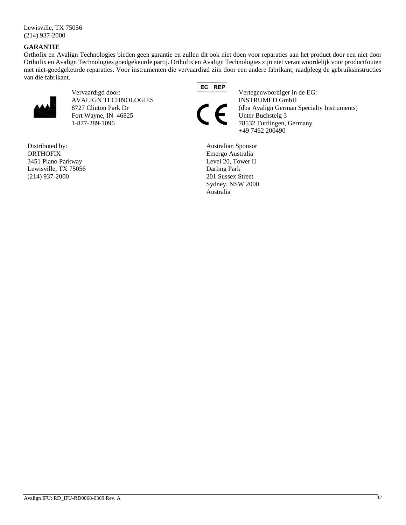Lewisville, TX 75056 (214) 937-2000

### **GARANTIE**

Orthofix en Avalign Technologies bieden geen garantie en zullen dit ook niet doen voor reparaties aan het product door een niet door Orthofix en Avalign Technologies goedgekeurde partij. Orthofix en Avalign Technologies zijn niet verantwoordelijk voor productfouten met niet-goedgekeurde reparaties. Voor instrumenten die vervaardigd zijn door een andere fabrikant, raadpleeg de gebruiksinstructies van die fabrikant.



AVALIGN TECHNOLOGIES **INSTRUMED GmbH** Fort Wayne, IN 46825 Unter Buchsteig 3

Distributed by: **ORTHOFIX** 3451 Plano Parkway Lewisville, TX 75056 (214) 937-2000



Vervaardigd door: Vertegenwoordiger in de EG: 8727 Clinton Park Dr (dba Avalign German Specialty Instruments) 1-877-289-1096 78532 Tuttlingen, Germany +49 7462 200490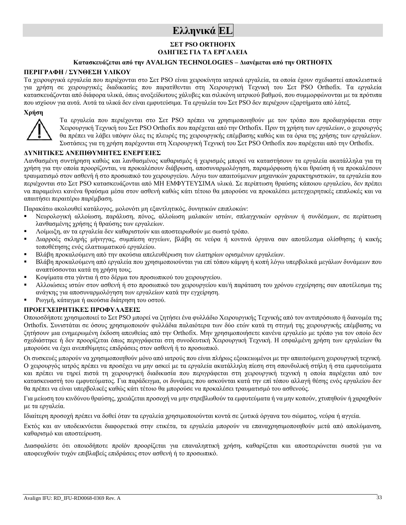# **Ελληνικά EL**

# **ΣΕΤ PSO ORTHOFIX ΟΔΗΓΙΕΣ ΓΙΑ ΤΑ ΕΡΓΑΛΕΙΑ**

# **Κατασκευάζεται από την AVALIGN TECHNOLOGIES – Διανέμεται από την ORTHOFIX**

#### **ΠΕΡΙΓΡΑΦΗ / ΣΥΝΘΕΣΗ ΥΛΙΚΟΥ**

Τα χειρουργικά εργαλεία που περιέχονται στο Σετ PSO είναι χειροκίνητα ιατρικά εργαλεία, τα οποία έχουν σχεδιαστεί αποκλειστικά για χρήση σε χειρουργικές διαδικασίες που παρατίθενται στη Χειρουργική Τεχνική του Σετ PSO Orthofix. Τα εργαλεία κατασκευάζονται από διάφορα υλικά, όπως ανοξείδωτους χάλυβες και σιλικόνη ιατρικού βαθμού, που συμμορφώνονται με τα πρότυπα που ισχύουν για αυτά. Αυτά τα υλικά δεν είναι εμφυτεύσιμα. Τα εργαλεία του Σετ PSO δεν περιέχουν εξαρτήματα από λάτεξ.

# **Χρήση**



Τα εργαλεία που περιέχονται στο Σετ PSO πρέπει να χρησιμοποιηθούν με τον τρόπο που προδιαγράφεται στην Χειρουργική Τεχνική του Σετ PSO Orthofix που παρέχεται από την Orthofix. Πριν τη χρήση των εργαλείων, ο χειρουργός θα πρέπει να λάβει υπόψιν όλες τις πλευρές της χειρουργικής επέμβασης καθώς και τα όρια της χρήσης των εργαλείων. Συστάσεις για τη χρήση παρέχονται στη Χειρουργική Τεχνική του Σετ PSO Orthofix που παρέχεται από την Orthofix.

# **ΔΥΝΗΤΙΚΕΣ ΑΝΕΠΙΘΥΜΗΤΕΣ ΕΝΕΡΓΕΙΕΣ**

Λανθασμένη συντήρηση καθώς και λανθασμένος καθαρισμός ή χειρισμός μπορεί να καταστήσουν τα εργαλεία ακατάλληλα για τη χρήση για την οποία προορίζονται, να προκαλέσουν διάβρωση, αποσυναρμολόγηση, παραμόρφωση ή/και θραύση ή να προκαλέσουν τραυματισμό στον ασθενή ή στο προσωπικό του χειρουργείου. Λόγω των απαιτούμενων μηχανικών χαρακτηριστικών, τα εργαλεία που περιέχονται στο Σετ PSO κατασκευάζονται από ΜΗ ΕΜΦΥΤΕΥΣΙΜΑ υλικά. Σε περίπτωση θραύσης κάποιου εργαλείου, δεν πρέπει να παραμείνει κανένα θραύσμα μέσα στον ασθενή καθώς κάτι τέτοιο θα μπορούσε να προκαλέσει μετεγχειρητικές επιπλοκές και να απαιτήσει περαιτέρω παρέμβαση.

Παρακάτω ακολουθεί κατάλογος, μολονότι μη εξαντλητικός, δυνητικών επιπλοκών:

- Νευρολογική αλλοίωση, παράλυση, πόνος, αλλοίωση μαλακών ιστών, σπλαγγνικών οργάνων ή συνδέσμων, σε περίπτωση λανθασμένης χρήσης ή θραύσης των εργαλείων.
- Λοίμωξη, αν τα εργαλεία δεν καθαριστούν και αποστειρωθούν με σωστό τρόπο.
- Διαρροές σκληρής μήνιγγας, συμπίεση αγγείων, βλάβη σε νεύρα ή κοντινά όργανα σαν αποτέλεσμα ολίσθησης ή κακής τοποθέτησης ενός ελαττωματικού εργαλείου.
- Βλάβη προκαλούμενη από την ακούσια απελευθέρωση των ελατηρίων ορισμένων εργαλείων.
- Βλάβη προκαλούμενη από εργαλεία που χρησιμοποιούνται για επί τόπου κάμψη ή κοπή λόγω υπερβολικά μεγάλων δυνάμεων που αναπτύσσονται κατά τη χρήση τους.
- Κοψίματα στα γάντια ή στο δέρμα του προσωπικού του χειρουργείου.
- Αλλοιώσεις ιστών στον ασθενή ή στο προσωπικό του χειρουργείου και/ή παράταση του χρόνου εγχείρησης σαν αποτέλεσμα της ανάγκης για αποσυναρμολόγηση των εργαλείων κατά την εγχείρηση.
- Ρωγμή, κάταγμα ή ακούσια διάτρηση του οστού.

#### **ΠΡΟΕΓΧΕΙΡΗΤΙΚΕΣ ΠΡΟΦΥΛΑΞΕΙΣ**

Οποιοσδήποτε χρησιμοποιεί το Σετ PSO μπορεί να ζητήσει ένα φυλλάδιο Χειρουργικής Τεχνικής από τον αντιπρόσωπο ή διανομέα της Orthofix. Συνιστάται σε όσους χρησιμοποιούν φυλλάδια παλαιότερα των δύο ετών κατά τη στιγμή της χειρουργικής επέμβασης να ζητήσουν μια ενημερωμένη έκδοση απευθείας από την Orthofix. Μην χρησιμοποιήσετε κανένα εργαλείο με τρόπο για τον οποίο δεν σχεδιάστηκε ή δεν προορίζεται όπως περιγράφεται στη συνοδευτική Χειρουργική Τεχνική. Η εσφαλμένη χρήση των εργαλείων θα μπορούσε να έχει ανεπιθύμητες επιδράσεις στον ασθενή ή το προσωπικό.

Οι συσκευές μπορούν να χρησιμοποιηθούν μόνο από ιατρούς που είναι πλήρως εξοικειωμένοι με την απαιτούμενη χειρουργική τεχνική. Ο χειρουργός ιατρός πρέπει να προσέχει να μην ασκεί με τα εργαλεία ακατάλληλη πίεση στη σπονδυλική στήλη ή στα εμφυτεύματα και πρέπει να τηρεί πιστά τη χειρουργική διαδικασία που περιγράφεται στη χειρουργική τεχνική η οποία παρέχεται από τον κατασκευαστή του εμφυτεύματος. Για παράδειγμα, οι δυνάμεις που ασκούνται κατά την επί τόπου αλλαγή θέσης ενός εργαλείου δεν θα πρέπει να είναι υπερβολικές καθώς κάτι τέτοιο θα μπορούσε να προκαλέσει τραυματισμό του ασθενούς.

Για μείωση του κινδύνου θραύσης, χρειάζεται προσοχή να μην στρεβλωθούν τα εμφυτεύματα ή να μην κοπούν, χτυπηθούν ή χαραχθούν με τα εργαλεία.

Ιδιαίτερη προσοχή πρέπει να δοθεί όταν τα εργαλεία χρησιμοποιούνται κοντά σε ζωτικά όργανα του σώματος, νεύρα ή αγγεία.

Εκτός και αν υποδεικνύεται διαφορετικά στην ετικέτα, τα εργαλεία μπορούν να επαναχρησιμοποιηθούν μετά από απολύμανση, καθαρισμό και αποστείρωση.

Διασφαλίστε ότι οποιοδήποτε προϊόν προορίζεται για επαναληπτική χρήση, καθαρίζεται και αποστειρώνεται σωστά για να αποφευχθούν τυχόν επιβλαβείς επιδράσεις στον ασθενή ή το προσωπικό.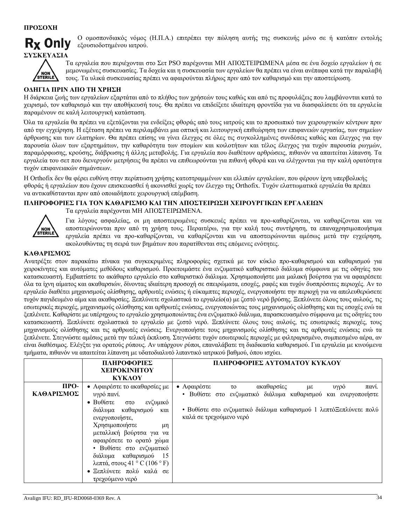

Ο ομοσπονδιακός νόμος (Η.Π.Α.) επιτρέπει την πώληση αυτής της συσκευής μόνο σε ή κατόπιν εντολής εξουσιοδοτημένου ιατρού.



Τα εργαλεία που περιέχονται στο Σετ PSO παρέχονται ΜΗ ΑΠΟΣΤΕΙΡΩΜΕΝΑ μέσα σε ένα δοχείο εργαλείων ή σε μεμονωμένες συσκευασίες. Τα δοχεία και η συσκευασία των εργαλείων θα πρέπει να είναι ανέπαφα κατά την παραλαβή τους. Τα υλικά συσκευασίας πρέπει να αφαιρούνται πλήρως πριν από τον καθαρισμό και την αποστείρωση.

# **ΟΔΗΓΙΑ ΠΡΙΝ ΑΠΟ ΤΗ ΧΡΗΣΗ**

Η διάρκεια ζωής των εργαλείων εξαρτάται από το πλήθος των χρήσεών τους καθώς και από τις προφυλάξεις που λαμβάνονται κατά το χειρισμό, τον καθαρισμό και την αποθήκευσή τους. Θα πρέπει να επιδείξετε ιδιαίτερη φροντίδα για να διασφαλίσετε ότι τα εργαλεία παραμένουν σε καλή λειτουργική κατάσταση.

Όλα τα εργαλεία θα πρέπει να εξετάζονται για ενδείξεις φθοράς από τους ιατρούς και το προσωπικό των χειρουργικών κέντρων πριν από την εγχείρηση. Η εξέταση πρέπει να περιλαμβάνει μια οπτική και λειτουργική επιθεώρηση των επιφανειών εργασίας, των σημείων άρθρωσης και των ελατηρίων. Θα πρέπει επίσης να γίνει έλεγχος σε όλες τις συγκολλημένες συνδέσεις καθώς και έλεγχος για την παρουσία όλων των εξαρτημάτων, την καθαρότητα των στομίων και κοιλοτήτων και τέλος έλεγχος για τυχόν παρουσία ρωγμών, παραμόρφωσης, κρούσης, διάβρωσης ή άλλης μεταβολής. Για εργαλεία που διαθέτουν αρθρώσεις, πιθανόν να απαιτείται λίπανση. Τα εργαλεία του σετ που διενεργούν μετρήσεις θα πρέπει να επιθεωρούνται για πιθανή φθορά και να ελέγχονται για την καλή ορατότητα τυχόν επιφανειακών σημάνσεων.

Η Orthofix δεν θα φέρει ευθύνη στην περίπτωση χρήσης κατεστραμμένων και ελλιπών εργαλείων, που φέρουν ίχνη υπερβολικής φθοράς ή εργαλείων που έχουν επισκευασθεί ή ακονισθεί χωρίς τον έλεγχο της Orthofix. Τυχόν ελαττωματικά εργαλεία θα πρέπει να αντικαθίστανται πριν από οποιαδήποτε χειρουργική επέμβαση.

# **ΠΛΗΡΟΦΟΡΙΕΣ ΓΙΑ ΤΟΝ ΚΑΘΑΡΙΣΜΟ ΚΑΙ ΤΗΝ ΑΠΟΣΤΕΙΡΩΣΗ ΧΕΙΡΟΥΡΓΙΚΩΝ ΕΡΓΑΛΕΙΩΝ**

Τα εργαλεία παρέχονται ΜΗ ΑΠΟΣΤΕΙΡΩΜΕΝΑ.



Για λόγους ασφαλείας, οι μη αποστειρωμένες συσκευές πρέπει να προ-καθαρίζονται, να καθαρίζονται και να αποστειρώνονται πριν από τη χρήση τους. Περαιτέρω, για την καλή τους συντήρηση, τα επαναχρησιμοποιήσιμα εργαλεία πρέπει να προ-καθαρίζονται, να καθαρίζονται και να αποστειρώνονται αμέσως μετά την εγχείρηση, ακολουθώντας τη σειρά των βημάτων που παρατίθενται στις επόμενες ενότητες.

### **ΚΑΘΑΡΙΣΜΟΣ**

Ανατρέξτε στον παρακάτω πίνακα για συγκεκριμένες πληροφορίες σχετικά με τον κύκλο προ-καθαρισμού και καθαρισμού για χειροκίνητες και αυτόματες μεθόδους καθαρισμού. Προετοιμάστε ένα ενζυματικό καθαριστικό διάλυμα σύμφωνα με τις οδηγίες του κατασκευαστή. Εμβαπτίστε το ακάθαρτο εργαλείο στο καθαριστικό διάλυμα. Χρησιμοποιήστε μια μαλακή βούρτσα για να αφαιρέσετε όλα τα ίχνη αίματος και ακαθαρσιών, δίνοντας ιδιαίτερη προσοχή σε σπειρώματα, εσοχές, ραφές και τυχόν δυσπρόσιτες περιοχές. Αν το εργαλείο διαθέτει μηχανισμούς ολίσθησης, αρθρωτές ενώσεις ή εύκαμπτες περιοχές, ενεργοποιήστε την περιοχή για να απελευθερώσετε τυχόν παγιδευμένο αίμα και ακαθαρσίες. Ξεπλύνετε σχολαστικά το εργαλείο(α) με ζεστό νερό βρύσης. Ξεπλύνετε όλους τους αυλούς, τις εσωτερικές περιοχές, μηχανισμούς ολίσθησης και αρθρωτές ενώσεις, ενεργοποιώντας τους μηχανισμούς ολίσθησης και τις εσοχές ενώ τα ξεπλένετε. Καθαρίστε με υπέρηχους το εργαλείο χρησιμοποιώντας ένα ενζυματικό διάλυμα, παρασκευασμένο σύμφωνα με τις οδηγίες του κατασκευαστή. Ξεπλύνετε σχολαστικά το εργαλείο με ζεστό νερό. Ξεπλύνετε όλους τους αυλούς, τις εσωτερικές περιοχές, τους μηχανισμούς ολίσθησης και τις αρθρωτές ενώσεις. Ενεργοποιήστε τους μηχανισμούς ολίσθησης και τις αρθρωτές ενώσεις ενώ τα ξεπλένετε. Στεγνώστε αμέσως μετά την τελική έκπλυση. Στεγνώστε τυχόν εσωτερικές περιοχές με φιλτραρισμένο, συμπιεσμένο αέρα, αν είναι διαθέσιμος. Ελέγξτε για ορατούς ρύπους. Αν υπάρχουν ρύποι, επαναλάβατε τη διαδικασία καθαρισμού. Για εργαλεία με κινούμενα τμήματα, πιθανόν να απαιτείται λίπανση με υδατοδιαλυτό λιπαντικό ιατρικού βαθμού, όπου ισχύει.

|                    | ΠΛΗΡΟΦΟΡΙΕΣ<br><b>XEIPOKINHTOY</b><br><b>KYKAOY</b>                                                                                                                                                                                                                                                                                      | ΠΛΗΡΟΦΟΡΙΕΣ ΑΥΤΟΜΑΤΟΥ ΚΥΚΛΟΥ                                                                                                                                                                                         |
|--------------------|------------------------------------------------------------------------------------------------------------------------------------------------------------------------------------------------------------------------------------------------------------------------------------------------------------------------------------------|----------------------------------------------------------------------------------------------------------------------------------------------------------------------------------------------------------------------|
| ПРО-<br>ΚΑΘΑΡΙΣΜΟΣ | • Αφαιρέστε το ακαθαρσίες με<br>υγρό πανί.<br>• Βυθίστε στο<br>ενζυμικό<br>διάλυμα καθαρισμού και<br>ενεργοποιήστε,<br>Χρησιμοποιήστε<br>μη<br>μεταλλική βούρτσα για να<br>αφαιρέσετε το ορατό χώμα<br>• Βυθίστε στο ενζυματικό<br>διάλυμα καθαρισμού 15<br>λεπτά, στους 41 ° C (106 ° F)<br>• Ξεπλύνετε πολύ καλά σε<br>τρεχούμενο νερό | ακαθαρσίες<br>• Αφαιρέστε το<br>υγρό<br>με<br>πανί.<br>• Βυθίστε στο ενζυματικό διάλυμα καθαρισμού και ενεργοποιήστε<br>• Βυθίστε στο ενζυματικό διάλυμα καθαρισμού 1 λεπτόΞεπλύνετε πολύ<br>καλά σε τρεχούμενο νερό |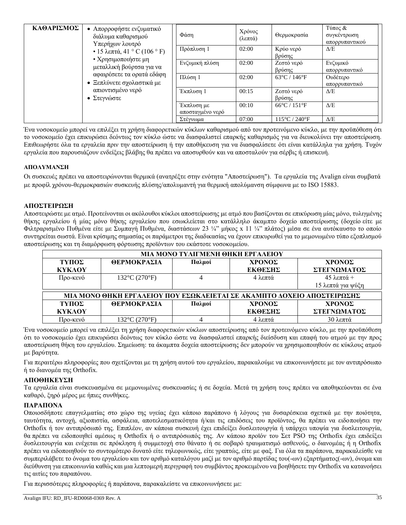| ΚΑΘΑΡΙΣΜΟΣ | Απορροφήστε ενζυματικό<br>$\bullet$<br>διάλυμα καθαρισμού<br>Υπερήχων λουτρό<br>• 15 λεπτά, 41 ° C (106 ° F)<br>• Χρησιμοποιήστε μη<br>μεταλλική βούρτσα για να<br>αφαιρέσετε τα ορατά εδάφη<br>• Ξεπλύνετε σχολαστικά με<br>απιοντισμένο νερό<br>• Στεγνώστε | Φάση                           | Χρόνος<br>(λεπτά) | Θερμοκρασία                        | Τύπος &<br>συγκέντρωση<br>απορρυπαντικού |
|------------|---------------------------------------------------------------------------------------------------------------------------------------------------------------------------------------------------------------------------------------------------------------|--------------------------------|-------------------|------------------------------------|------------------------------------------|
|            |                                                                                                                                                                                                                                                               | Πρόπλυση 1                     | 02:00             | Κρύο νερό<br>βρύσης                | $\Delta/E$                               |
|            |                                                                                                                                                                                                                                                               | Ενζυμική πλύση                 | 02:00             | Ζεστό νερό<br>βρύσης               | Ενζυμικό<br>απορρυπαντικό                |
|            |                                                                                                                                                                                                                                                               | Πλύση 1                        | 02:00             | $63^{\circ}$ C / 146 $^{\circ}$ F  | Ουδέτερο<br>απορρυπαντικό                |
|            |                                                                                                                                                                                                                                                               | Έκπλυση 1                      | 00:15             | Ζεστό νερό<br>βρύσης               | $\Delta/E$                               |
|            |                                                                                                                                                                                                                                                               | Έκπλυση με<br>αποσταγμένο νερό | 00:10             | $66^{\circ}$ C / 151 $^{\circ}$ F  | $\Delta/E$                               |
|            |                                                                                                                                                                                                                                                               | Στέγνωμα                       | 07:00             | $115^{\circ}$ C / 240 $^{\circ}$ F | $\Delta/E$                               |

Ένα νοσοκομείο μπορεί να επιλέξει τη χρήση διαφορετικών κύκλων καθαρισμού από τον προτεινόμενο κύκλο, με την προϋπόθεση ότι το νοσοκομείο έχει επικυρώσει δεόντως τον κύκλο ώστε να διασφαλιστεί επαρκής καθαρισμός για να διευκολύνει την αποστείρωση. Επιθεωρήστε όλα τα εργαλεία πριν την αποστείρωση ή την αποθήκευση για να διασφαλίσετε ότι είναι κατάλληλα για χρήση. Τυχόν εργαλεία που παρουσιάζουν ενδείξεις βλάβης θα πρέπει να αποσυρθούν και να αποσταλούν για σέρβις ή επισκευή.

### **ΑΠΟΛΥΜΑΝΣΗ**

Οι συσκευές πρέπει να αποστειρώνονται θερμικά (ανατρέξτε στην ενότητα "Αποστείρωση"). Τα εργαλεία της Avalign είναι συμβατά με προφίλ χρόνου-θερμοκρασιών συσκευής πλύσης/απολυμαντή για θερμική απολύμανση σύμφωνα με το ISO 15883.

### **ΑΠΟΣΤΕΙΡΩΣΗ**

Αποστειρώστε με ατμό. Προτείνονται οι ακόλουθοι κύκλοι αποστείρωσης με ατμό που βασίζονται σε επικύρωση μίας μόνο, τυλιγμένης θήκης εργαλείου ή μίας μόνο θήκης εργαλείου που εσωκλείεται στο κατάλληλο άκαμπτο δοχείο αποστείρωσης (δοχείο είτε με Φιλτραρισμένο Πυθμένα είτε με Συμπαγή Πυθμένα, διαστάσεων 23 ¼" μήκος x 11 ¼" πλάτος) μέσα σε ένα αυτόκαυστο το οποίο συντηρείται σωστά. Είναι κρίσιμης σημασίας οι παράμετροι της διαδικασίας να έχουν επικυρωθεί για το μεμονωμένο τύπο εξοπλισμού αποστείρωσης και τη διαμόρφωση φόρτωσης προϊόντων του εκάστοτε νοσοκομείου.

| МІА МОНО ТҮЛІГМЕНІ ӨНКН ЕРГАЛЕІОҮ                                      |                                    |        |         |                     |  |
|------------------------------------------------------------------------|------------------------------------|--------|---------|---------------------|--|
| ΤΥΠΟΣ                                                                  | ΘΕΡΜΟΚΡΑΣΙΑ                        | Παλμοί | ΧΡΟΝΟΣ  | ΧΡΟΝΟΣ              |  |
| <b>KYKAOY</b>                                                          |                                    |        | ΕΚΘΕΣΗΣ | ΣΤΕΓΝΩΜΑΤΟΣ         |  |
| Προ-κενό                                                               | $132^{\circ}C(270^{\circ}F)$       |        | 4 λεπτά | $45 \lambda$ επτά + |  |
|                                                                        |                                    |        |         | 15 λεπτά για ψύξη   |  |
| ΜΙΑ ΜΟΝΟ ΘΗΚΗ ΕΡΓΑΛΕΙΟΥ ΠΟΥ ΕΣΩΚΛΕΙΕΤΑΙ ΣΕ ΑΚΑΜΠΤΟ ΔΟΧΕΙΟ ΑΠΟΣΤΕΙΡΩΣΗΣ |                                    |        |         |                     |  |
| ΤΥΠΟΣ                                                                  | ΘΕΡΜΟΚΡΑΣΙΑ                        | Παλμοί | ΧΡΟΝΟΣ  | ΧΡΟΝΟΣ              |  |
| <b>KYKAOY</b>                                                          |                                    |        | ΕΚΘΕΣΗΣ | ΣΤΕΓΝΩΜΑΤΟΣ         |  |
| Προ-κενό                                                               | $132^{\circ}$ C (270 $^{\circ}$ F) |        | 4 λεπτά | 30 λεπτά            |  |

Ένα νοσοκομείο μπορεί να επιλέξει τη χρήση διαφορετικών κύκλων αποστείρωσης από τον προτεινόμενο κύκλο, με την προϋπόθεση ότι το νοσοκομείο έχει επικυρώσει δεόντως τον κύκλο ώστε να διασφαλιστεί επαρκής διείσδυση και επαφή του ατμού με την προς αποστείρωση θήκη του εργαλείου. Σημείωση: τα άκαμπτα δοχεία αποστείρωσης δεν μπορούν να χρησιμοποιηθούν σε κύκλους ατμού με βαρύτητα.

Για περαιτέρω πληροφορίες που σχετίζονται με τη χρήση αυτού του εργαλείου, παρακαλούμε να επικοινωνήσετε με τον αντιπρόσωπο ή το διανομέα της Orthofix.

#### **ΑΠΟΘΗΚΕΥΣΗ**

Τα εργαλεία είναι συσκευασμένα σε μεμονωμένες συσκευασίες ή σε δοχεία. Μετά τη χρήση τους πρέπει να αποθηκεύονται σε ένα καθαρό, ξηρό μέρος με ήπιες συνθήκες.

# **ΠΑΡΑΠΟΝΑ**

Οποιοσδήποτε επαγγελματίας στο χώρο της υγείας έχει κάποιο παράπονο ή λόγους για δυσαρέσκεια σχετικά με την ποιότητα, ταυτότητα, αντοχή, αξιοπιστία, ασφάλεια, αποτελεσματικότητα ή/και τις επιδόσεις του προϊόντος, θα πρέπει να ειδοποιήσει την Orthofix ή τον αντιπρόσωπό της. Επιπλέον, αν κάποια συσκευή έχει επιδείξει δυσλειτουργία ή υπάρχει υποψία για δυσλειτουργία, θα πρέπει να ειδοποιηθεί αμέσως η Orthofix ή ο αντιπρόσωπός της. Αν κάποιο προϊόν του Σετ PSO της Orthofix έχει επιδείξει δυσλειτουργία και ενέχεται σε πρόκληση ή συμμετοχή στο θάνατο ή σε σοβαρό τραυματισμό ασθενούς, ο διανομέας ή η Orthofix πρέπει να ειδοποιηθούν το συντομότερο δυνατό είτε τηλεφωνικώς, είτε γραπτώς, είτε με φαξ. Για όλα τα παράπονα, παρακαλείσθε να συμπεριλάβετε το όνομα του εργαλείου και τον αριθμό καταλόγου μαζί με τον αριθμό παρτίδας του(-ων) εξαρτήματος(-ων), όνομα και διεύθυνση για επικοινωνία καθώς και μια λεπτομερή περιγραφή του συμβάντος προκειμένου να βοηθήσετε την Orthofix να κατανοήσει τις αιτίες του παραπόνου.

Για περισσότερες πληροφορίες ή παράπονα, παρακαλείστε να επικοινωνήσετε με: